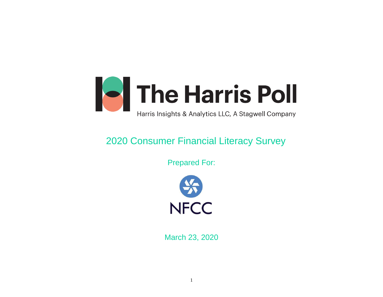

# 2020 Consumer Financial Literacy Survey

Prepared For:



March 23, 2020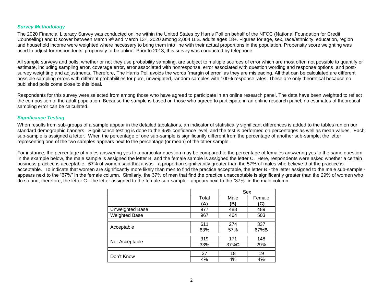#### *Survey Methodology*

The 2020 Financial Literacy Survey was conducted online within the United States by Harris Poll on behalf of the NFCC (National Foundation for Credit Counseling) and Discover between March 9<sup>th</sup> and March 13<sup>th</sup>, 2020 among 2,004 U.S. adults ages 18+. Figures for age, sex, race/ethnicity, education, region and household income were weighted where necessary to bring them into line with their actual proportions in the population. Propensity score weighting was used to adjust for respondents' propensity to be online. Prior to 2013, this survey was conducted by telephone.

All sample surveys and polls, whether or not they use probability sampling, are subject to multiple sources of error which are most often not possible to quantify or estimate, including sampling error, coverage error, error associated with nonresponse, error associated with question wording and response options, and postsurvey weighting and adjustments. Therefore, The Harris Poll avoids the words "margin of error" as they are misleading. All that can be calculated are different possible sampling errors with different probabilities for pure, unweighted, random samples with 100% response rates. These are only theoretical because no published polls come close to this ideal.

Respondents for this survey were selected from among those who have agreed to participate in an online research panel. The data have been weighted to reflect the composition of the adult population. Because the sample is based on those who agreed to participate in an online research panel, no estimates of theoretical sampling error can be calculated.

#### *Significance Testing*

When results from sub-groups of a sample appear in the detailed tabulations, an indicator of statistically significant differences is added to the tables run on our standard demographic banners. Significance testing is done to the 95% confidence level, and the test is performed on percentages as well as mean values. Each sub-sample is assigned a letter. When the percentage of one sub-sample is significantly different from the percentage of another sub-sample, the letter representing one of the two samples appears next to the percentage (or mean) of the other sample.

For instance, the percentage of males answering yes to a particular question may be compared to the percentage of females answering yes to the same question. In the example below, the male sample is assigned the letter B, and the female sample is assigned the letter C. Here, respondents were asked whether a certain business practice is acceptable. 67% of women said that it was - a proportion significantly greater than the 57% of males who believe that the practice is acceptable. To indicate that women are significantly more likely than men to find the practice acceptable, the letter B - the letter assigned to the male sub-sample appears next to the "67%" in the female column. Similarly, the 37% of men that find the practice unacceptable is significantly greater than the 29% of women who do so and, therefore, the letter C - the letter assigned to the female sub-sample - appears next to the "37%" in the male column.

|                      |       | Sex  |              |
|----------------------|-------|------|--------------|
|                      | Total | Male | Female       |
|                      | (A)   | B)   | (C)          |
| Unweighted Base      | 977   | 488  | 489          |
| <b>Weighted Base</b> | 967   | 464  | 503          |
|                      |       |      |              |
| Acceptable           | 611   | 274  | 337          |
|                      | 63%   | 57%  | 67% <b>B</b> |
|                      |       |      |              |
| Not Acceptable       | 319   | 171  | 148          |
|                      | 33%   | 37%C | 29%          |
|                      |       |      |              |
| Don't Know           | 37    | 18   | 19           |
|                      | 4%    | 4%   | 4%           |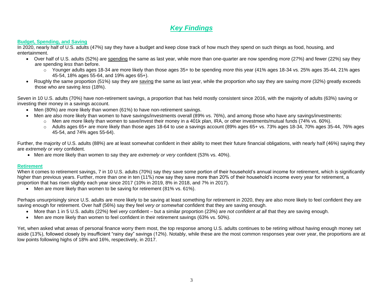# *Key Findings*

#### **Budget, Spending, and Saving**

In 2020, nearly half of U.S. adults (47%) say they have a budget and keep close track of how much they spend on such things as food, housing, and entertainment.

- Over half of U.S. adults (52%) are spending the same as last year, while more than one-quarter are now spending *more* (27%) and fewer (22%) say they are spending *less* than before.
	- o Younger adults ages 18-34 are more likely than those ages 35+ to be spending *more* this year (41% ages 18-34 vs. 25% ages 35-44, 21% ages 45-54, 18% ages 55-64, and 19% ages 65+).
- Roughly the same proportion (51%) say they are saving the same as last year, while the proportion who say they are saving *more* (32%) greatly exceeds those who are saving *less* (18%).

Seven in 10 U.S. adults (70%) have non-retirement savings, a proportion that has held mostly consistent since 2016, with the majority of adults (63%) saving or investing their money in a savings account.

- Men (80%) are more likely than women (61%) to have non-retirement savings.
- Men are also more likely than women to have savings/investments overall (89% vs. 76%), and among those who have any savings/investments:
	- $\circ$  Men are more likely than women to save/invest their money in a 401k plan, IRA, or other investments/mutual funds (74% vs. 60%).
		- o Adults ages 65+ are more likely than those ages 18-64 to use a savings account (89% ages 65+ vs. 73% ages 18-34, 70% ages 35-44, 76% ages 45-54, and 74% ages 55-64).

Further, the majority of U.S. adults (88%) are at least somewhat confident in their ability to meet their future financial obligations, with nearly half (46%) saying they are *extremely or very* confident.

• Men are more likely than women to say they are *extremely or very* confident (53% vs. 40%).

#### **Retirement**

When it comes to retirement savings, 7 in 10 U.S. adults (70%) say they save some portion of their household's annual income for retirement, which is significantly higher than previous years. Further, more than one in ten (11%) now say they save more than 20% of their household's income every year for retirement, a proportion that has risen slightly each year since 2017 (10% in 2019, 8% in 2018, and 7% in 2017).

• Men are more likely than women to be saving for retirement (81% vs. 61%).

Perhaps unsurprisingly since U.S. adults are more likely to be saving at least something for retirement in 2020, they are also more likely to feel confident they are saving enough for retirement. Over half (56%) say they feel *very or somewhat* confident that they are saving enough.

- More than 1 in 5 U.S. adults (22%) feel *very* confident but a similar proportion (23%) are *not confident at all* that they are saving enough.
- Men are more likely than women to feel confident in their retirement savings (63% vs. 50%).

Yet, when asked what areas of personal finance worry them most, the top response among U.S. adults continues to be retiring without having enough money set aside (13%), followed closely by insufficient "rainy day" savings (12%). Notably, while these are the most common responses year over year, the proportions are at low points following highs of 18% and 16%, respectively, in 2017.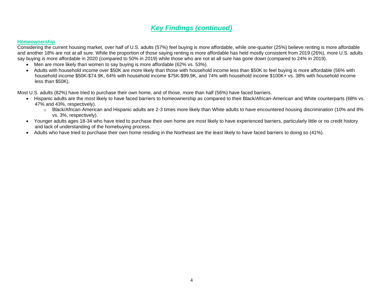## *Key Findings (continued)*

#### **Homeownership**

Considering the current housing market, over half of U.S. adults (57%) feel buying is more affordable, while one-quarter (25%) believe renting is more affordable and another 18% are not at all sure. While the proportion of those saying renting is more affordable has held mostly consistent from 2019 (26%), more U.S. adults say buying is more affordable in 2020 (compared to 50% in 2019) while those who are not at all sure has gone down (compared to 24% in 2019).

- Men are more likely than women to say buying is more affordable (62% vs. 53%).
- Adults with household income over \$50K are more likely than those with household income less than \$50K to feel buying is more affordable (56% with household income \$50K-\$74.9K, 64% with household income \$75K-\$99.9K, and 74% with household income \$100K+ vs. 38% with household income less than \$50K).

Most U.S. adults (82%) have tried to purchase their own home, and of those, more than half (56%) have faced barriers.

- Hispanic adults are the *most* likely to have faced barriers to homeownership as compared to their Black/African-American and White counterparts (68% vs. 47% and 43%, respectively).
	- o Black/African-American and Hispanic adults are 2-3 times more likely than White adults to have encountered housing discrimination (10% and 8% vs. 3%, respectively).
- Younger adults ages 18-34 who have tried to purchase their own home are *most* likely to have experienced barriers, particularly little or no credit history and lack of understanding of the homebuying process.
- Adults who have tried to purchase their own home residing in the Northeast are the *least* likely to have faced barriers to doing so (41%).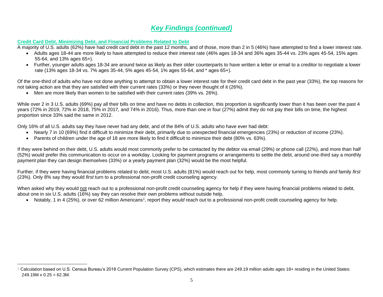## *Key Findings (continued)*

#### **Credit Card Debt, Minimizing Debt, and Financial Problems Related to Debt**

A majority of U.S. adults (62%) have had credit card debt in the past 12 months, and of those, more than 2 in 5 (46%) have attempted to find a lower interest rate.

- Adults ages 18-44 are more likely to have attempted to reduce their interest rate (46% ages 18-34 and 36% ages 35-44 vs. 23% ages 45-54, 15% ages 55-64, and 13% ages 65+).
- Further, younger adults ages 18-34 are around twice as likely as their older counterparts to have written a letter or email to a creditor to negotiate a lower rate (13% ages 18-34 vs. 7% ages 35-44, 5% ages 45-54, 1% ages 55-64, and \* ages 65+).

Of the one-third of adults who have not done anything to attempt to obtain a lower interest rate for their credit card debt in the past year (33%), the top reasons for not taking action are that they are satisfied with their current rates (33%) or they never thought of it (26%).

• Men are more likely than women to be satisfied with their current rates (39% vs. 26%).

While over 2 in 3 U.S. adults (69%) pay all their bills on time and have no debts in collection, this proportion is significantly lower than it has been over the past 4 years (72% in 2019, 72% in 2018, 75% in 2017, and 74% in 2016). Thus, more than one in four (27%) admit they do not pay their bills on time, the highest proportion since 33% said the same in 2012.

Only 16% of all U.S. adults say they have never had any debt, and of the 84% of U.S. adults who have ever had debt:

- Nearly 7 in 10 (69%) find it difficult to minimize their debt, primarily due to unexpected financial emergencies (23%) or reduction of income (23%).
- Parents of children under the age of 18 are more likely to find it difficult to minimize their debt (80% vs. 63%).

If they were behind on their debt, U.S. adults would most commonly prefer to be contacted by the debtor via email (29%) or phone call (22%), and more than half (52%) would prefer this communication to occur on a workday. Looking for payment programs or arrangements to settle the debt, around one-third say a monthly payment plan they can design themselves (33%) or a yearly payment plan (32%) would be the most helpful.

Further, if they were having financial problems related to debt, most U.S. adults (81%) would reach out for help, most commonly turning to friends and family *first* (23%). Only 8% say they would *first* turn to a professional non-profit credit counseling agency.

When asked why they would not reach out to a professional non-profit credit counseling agency for help if they were having financial problems related to debt, about one in six U.S. adults (16%) say they can resolve their own problems without outside help.

• Notably, 1 in 4 (25%), or over 62 million Americans<sup>1</sup>, report they *would* reach out to a professional non-profit credit counseling agency for help.

 $1$  Calculation based on U.S. Census Bureau's 2018 Current Population Survey (CPS), which estimates there are 249.19 million adults ages 18+ residing in the United States:  $249.19M \times 0.25 = 62.3M$ .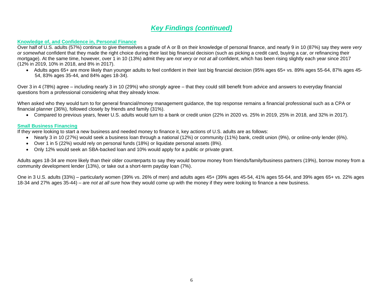### *Key Findings (continued)*

#### **Knowledge of, and Confidence in, Personal Finance**

Over half of U.S. adults (57%) continue to give themselves a grade of A or B on their knowledge of personal finance, and nearly 9 in 10 (87%) say they were *very or somewhat* confident that they made the right choice during their last big financial decision (such as picking a credit card, buying a car, or refinancing their mortgage). At the same time, however, over 1 in 10 (13%) admit they are *not very or not at all* confident, which has been rising slightly each year since 2017 (12% in 2019, 10% in 2018, and 8% in 2017).

• Adults ages 65+ are more likely than younger adults to feel confident in their last big financial decision (95% ages 65+ vs. 89% ages 55-64, 87% ages 45- 54, 83% ages 35-44, and 84% ages 18-34).

Over 3 in 4 (78%) agree – including nearly 3 in 10 (29%) who *strongly* agree – that they could still benefit from advice and answers to everyday financial questions from a professional considering what they already know.

When asked who they would turn to for general financial/money management guidance, the top response remains a financial professional such as a CPA or financial planner (36%), followed closely by friends and family (31%).

• Compared to previous years, fewer U.S. adults would turn to a bank or credit union (22% in 2020 vs. 25% in 2019, 25% in 2018, and 32% in 2017).

#### **Small Business Financing**

If they were looking to start a new business and needed money to finance it, key actions of U.S. adults are as follows:

- Nearly 3 in 10 (27%) would seek a business loan through a national (12%) or community (11%) bank, credit union (9%), or online-only lender (6%).
- Over 1 in 5 (22%) would rely on personal funds (18%) or liquidate personal assets (8%).
- Only 12% would seek an SBA-backed loan and 10% would apply for a public or private grant.

Adults ages 18-34 are more likely than their older counterparts to say they would borrow money from friends/family/business partners (19%), borrow money from a community development lender (13%), or take out a short-term payday loan (7%).

One in 3 U.S. adults (33%) – particularly women (39% vs. 26% of men) and adults ages 45+ (39% ages 45-54, 41% ages 55-64, and 39% ages 65+ vs. 22% ages 18-34 and 27% ages 35-44) – are *not at all sure* how they would come up with the money if they were looking to finance a new business.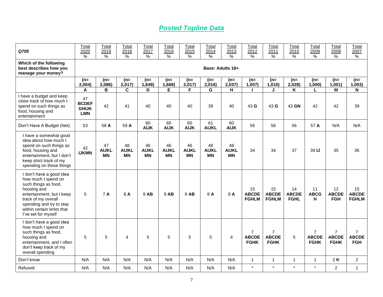# *Posted Topline Data*

| Q705                                                                                                                                                                                                                        | Total<br>2020<br>$\%$                            | Total<br>2019<br>$\%$    | Total<br>2018<br>$\%$           | Total<br>2017<br>$\%$           | Total<br>2016<br>$\%$           | Total<br>2015<br>$\%$    | Total<br>2014<br>$\%$           | Total<br>2013<br>$\%$           | Total<br>2012<br>$\%$                         | Total<br>2011<br>$\%$                         | Total<br>2010<br>$\frac{9}{6}$    | Total<br>2009<br>%                            | Total<br>2008<br>%                            | Total<br>2007<br>$\%$                        |
|-----------------------------------------------------------------------------------------------------------------------------------------------------------------------------------------------------------------------------|--------------------------------------------------|--------------------------|---------------------------------|---------------------------------|---------------------------------|--------------------------|---------------------------------|---------------------------------|-----------------------------------------------|-----------------------------------------------|-----------------------------------|-----------------------------------------------|-----------------------------------------------|----------------------------------------------|
| Which of the following<br>best describes how you<br>manage your money?                                                                                                                                                      |                                                  |                          |                                 |                                 |                                 |                          |                                 | Base: Adults 18+                |                                               |                                               |                                   |                                               |                                               |                                              |
|                                                                                                                                                                                                                             | (n=<br>2,004)<br>A                               | (n=<br>2,086)<br>B       | $(n=$<br>2,017)<br>C            | $(n=$<br>1,649)<br>D            | $(n=$<br>1,668)<br>E            | $(n=$<br>2,017)<br>F     | $(n=$<br>2,016)<br>G            | $(n=$<br>2,037)<br>н            | (n=<br>1,007                                  | $(n=$<br>1,010<br>J                           | $(n=$<br>2,028)<br>Κ              | $(n=$<br>1,000)<br>L                          | (n=<br>1,001)<br>M                            | $(n=$<br>1,003)<br>N                         |
| I have a budget and keep<br>close track of how much I<br>spend on such things as<br>food, housing and<br>entertainment                                                                                                      | 47<br><b>BCDEF</b><br><b>GHIJK</b><br><b>LMN</b> | 42                       | 41                              | 40                              | 40                              | 40                       | 39                              | 40                              | 43 G                                          | 43 G                                          | 43 GN                             | 42                                            | 42                                            | 39                                           |
| Don't Have A Budget (Net)                                                                                                                                                                                                   | 53                                               | 58 A                     | 59 A                            | 60<br><b>AIJK</b>               | 60<br><b>AIJK</b>               | 60<br><b>AIJK</b>        | 61<br><b>AIJKL</b>              | 60<br><b>AIJK</b>               | 56                                            | 56                                            | 56                                | 57 A                                          | N/A                                           | N/A                                          |
| I have a somewhat good<br>idea about how much I<br>spend on such things as<br>food, housing and<br>entertainment, but I don't<br>keep strict track of my<br>spending on these things                                        | 42<br><b>IJKMN</b>                               | 47<br><b>AIJKL</b><br>МN | 48<br><b>AIJKL</b><br><b>MN</b> | 46<br><b>AIJKL</b><br><b>MN</b> | 46<br><b>AIJKL</b><br><b>MN</b> | 46<br><b>AIJKL</b><br>ΜN | 48<br><b>AIJKL</b><br><b>MN</b> | 48<br><b>AIJKL</b><br><b>MN</b> | 34                                            | 34                                            | 37                                | 39 IJ                                         | 35                                            | 36                                           |
| I don't have a good idea<br>how much I spend on<br>such things as food,<br>housing and<br>entertainment, but I keep<br>track of my overall<br>spending and try to stay<br>within certain limits that<br>I've set for myself | 5                                                | 7 A                      | 8 A                             | 9 AB                            | 9 AB                            | 9 AB                     | 8 A                             | 8 A                             | 15<br><b>ABCDE</b><br><b>FGHLM</b>            | 15<br><b>ABCDE</b><br><b>FGHLM</b>            | 14<br><b>ABCDE</b><br><b>FGHL</b> | 11<br><b>ABCG</b><br>н                        | 12<br><b>ABCDE</b><br><b>FGH</b>              | 15<br><b>ABCDE</b><br><b>FGHLM</b>           |
| I don't have a good idea<br>how much I spend on<br>such things as food,<br>housing and<br>entertainment, and I often<br>don't keep track of my<br>overall spending                                                          | 5                                                | 5                        | 4                               | 5                               | 5                               | 5                        | 5                               | $\overline{4}$                  | $\overline{7}$<br><b>ABCDE</b><br><b>FGHK</b> | $\overline{7}$<br><b>ABCDE</b><br><b>FGHK</b> | 5                                 | $\overline{7}$<br><b>ABCDE</b><br><b>FGHK</b> | $\overline{7}$<br><b>ABCDE</b><br><b>FGHK</b> | $\overline{7}$<br><b>ABCDE</b><br><b>FGH</b> |
| Don't know                                                                                                                                                                                                                  | N/A                                              | N/A                      | N/A                             | N/A                             | N/A                             | N/A                      | N/A                             | N/A                             | $\mathbf{1}$                                  | $\mathbf{1}$                                  | $\mathbf{1}$                      | $\overline{1}$                                | 2K                                            | $\overline{2}$                               |
| Refused                                                                                                                                                                                                                     | N/A                                              | N/A                      | N/A                             | N/A                             | N/A                             | N/A                      | N/A                             | N/A                             | $\star$                                       | $\star$                                       | $\star$                           | $\star$                                       | $\overline{2}$                                | $\mathbf{1}$                                 |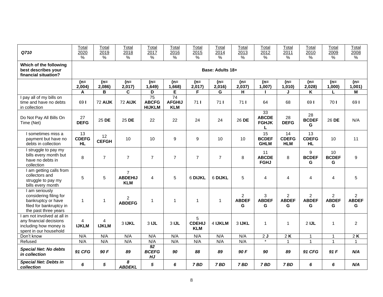| Q710                                                                                                              | Total<br>2020                   | Total<br>2019      | Total<br>2018                                  | Total<br>2017                                    | Total<br>2016                                  | Total<br>2015                    | Total<br>2014    | Total<br>2013                       | Total<br>2012                      | Total<br>2011                       | Total<br>2010                       | Total<br>2009                       | Total<br>2008                       |
|-------------------------------------------------------------------------------------------------------------------|---------------------------------|--------------------|------------------------------------------------|--------------------------------------------------|------------------------------------------------|----------------------------------|------------------|-------------------------------------|------------------------------------|-------------------------------------|-------------------------------------|-------------------------------------|-------------------------------------|
|                                                                                                                   | $\%$                            | $\%$               | $\%$                                           | $\%$                                             | %                                              | $\%$                             | %                | %                                   | $\%$                               | ℅                                   | $\%$                                | $\%$                                | %                                   |
| Which of the following<br>best describes your<br>financial situation?                                             |                                 |                    |                                                |                                                  |                                                |                                  | Base: Adults 18+ |                                     |                                    |                                     |                                     |                                     |                                     |
|                                                                                                                   | $(n=$<br>2,004)                 | $(n=$<br>2,086)    | $(n=$<br>2,017                                 | $(n=$<br>1,649)                                  | (n=<br>1,668)                                  | $(n=$<br>2,017                   | $(n=$<br>2,016)  | $(n=$<br>2,037                      | $(n=$<br>1,007                     | $(n=$<br>1,010                      | $(n=$<br>2,028)                     | $(n=$<br>1,000                      | $(n=$<br>1,001)                     |
|                                                                                                                   | A                               | B                  | C                                              | D                                                | E                                              | F                                | G                | н                                   |                                    | J                                   | Κ                                   | L                                   | M                                   |
| I pay all of my bills on<br>time and have no debts<br>in collection                                               | 691                             | 72 AIJK            | 72 AIJK                                        | $\overline{75}$<br><b>ABCFG</b><br><b>HIJKLM</b> | $\overline{74}$<br><b>AFGHIJ</b><br><b>KLM</b> | 711                              | 711              | 711                                 | 64                                 | 68                                  | 69 I                                | 701                                 | 691                                 |
| Do Not Pay All Bills On<br>Time (Net)                                                                             | 27<br><b>DEFG</b>               | 25 DE              | 25 DE                                          | 22                                               | 22                                             | 24                               | 24               | 26 DE                               | 33<br><b>ABCDE</b><br><b>FGHJK</b> | 28<br><b>DEFG</b>                   | 28<br><b>BCDEF</b><br>G             | 26 DE                               | N/A                                 |
| I sometimes miss a<br>payment but have no<br>debts in collection                                                  | 13<br><b>CDEFG</b><br><b>HL</b> | 12<br><b>CEFGH</b> | 10                                             | 10                                               | 9                                              | 9                                | 10               | 10                                  | 15<br><b>BCDEF</b><br><b>GHLM</b>  | 14<br><b>CDEFG</b><br><b>HLM</b>    | 13<br><b>CDEFG</b><br><b>HL</b>     | 10                                  | 11                                  |
| I struggle to pay my<br>bills every month but<br>have no debts in<br>collection                                   | 8                               | $\overline{7}$     | $\overline{7}$                                 | $\overline{7}$                                   | $\overline{7}$                                 | $\overline{7}$                   | $\overline{7}$   | 8                                   | 11<br><b>ABCDE</b><br><b>FGHJ</b>  | 8                                   | 9<br><b>BCDEF</b><br>G              | 10<br><b>BCDEF</b><br>G             | 9                                   |
| I am getting calls from<br>collectors and<br>struggle to pay my<br>bills every month                              | 5                               | 5                  | $\overline{7}$<br><b>ABDEHIJ</b><br><b>KLM</b> | 4                                                | 5                                              | 6 DIJKL                          | 6 DIJKL          | 5                                   | 4                                  | 4                                   | 4                                   | $\overline{4}$                      | 5                                   |
| I am seriously<br>considering filing for<br>bankruptcy or have<br>filed for bankruptcy in<br>the past three years | $\mathbf{1}$                    | $\mathbf{1}$       | $\overline{c}$<br><b>ABDEFG</b>                | 1                                                | $\mathbf{1}$                                   | $\mathbf{1}$                     | $\mathbf{1}$     | $\overline{2}$<br><b>ABDEF</b><br>G | 3<br><b>ABDEF</b><br>G             | $\overline{2}$<br><b>ABDEF</b><br>G | $\overline{2}$<br><b>ABDEF</b><br>G | $\overline{2}$<br><b>ABDEF</b><br>G | $\overline{2}$<br><b>ABDEF</b><br>G |
| I am not involved at all in<br>any financial decisions<br>including how money is<br>spent in our household        | $\overline{4}$<br><b>IJKLM</b>  | 4<br><b>IJKLM</b>  | 3 IJKL                                         | $3$ IJL                                          | $3$ IJL                                        | 5<br><b>CDEHIJ</b><br><b>KLM</b> | 4 IJKLM          | 3 IJKL                              | 1                                  | 1                                   | $2$ IJL                             | $\mathbf{1}$                        | $\overline{c}$                      |
| Don't know                                                                                                        | N/A                             | N/A                | N/A                                            | N/A                                              | N/A                                            | N/A                              | N/A              | N/A                                 | 2J                                 | 2K                                  | $\mathbf{1}$                        | $\mathbf{1}$                        | 2K                                  |
| Refused                                                                                                           | N/A                             | N/A                | N/A                                            | N/A                                              | N/A                                            | N/A                              | N/A              | N/A                                 |                                    |                                     | $\mathbf{1}$                        | $\mathbf{1}$                        | $\mathbf{1}$                        |
| <b>Special Net: No debts</b><br>in collection                                                                     | 91 CFG                          | 90 F               | 89                                             | 92<br><b>BCEFG</b><br>HJ                         | 90                                             | 88                               | 89               | 90 F                                | 90                                 | 89                                  | 91 CFG                              | 91F                                 | N/A                                 |
| <b>Special Net: Debts in</b><br>collection                                                                        | 6                               | 5                  | 8<br><b>ABDEKL</b>                             | 5                                                | 6                                              | 7 BD                             | 7BD              | 7 BD                                | 7 BD                               | 7 BD                                | 6                                   | 6                                   | N/A                                 |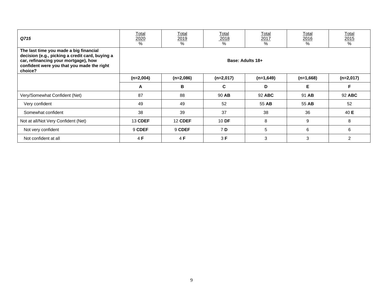| Q715                                                                                                                                                                                       | <u>Total</u><br>2020<br>% | Total<br>2019<br>% | <b>Total</b><br>2018<br>% | <u>Total</u><br>2017<br>% | <b>Total</b><br>2016<br>% | <b>Total</b><br>2015<br>% |
|--------------------------------------------------------------------------------------------------------------------------------------------------------------------------------------------|---------------------------|--------------------|---------------------------|---------------------------|---------------------------|---------------------------|
| The last time you made a big financial<br>decision (e.g., picking a credit card, buying a<br>car, refinancing your mortgage), how<br>confident were you that you made the right<br>choice? |                           |                    |                           | Base: Adults 18+          |                           |                           |
|                                                                                                                                                                                            | $(n=2,004)$               | $(n=2,086)$        | $(n=2,017)$               | $(n=1,649)$               | $(n=1,668)$               | $(n=2,017)$               |
|                                                                                                                                                                                            | A                         | B                  | C.                        | D                         | Е                         | F                         |
| Very/Somewhat Confident (Net)                                                                                                                                                              | 87                        | 88                 | 90 AB                     | 92 ABC                    | 91 AB                     | 92 ABC                    |
| Very confident                                                                                                                                                                             | 49                        | 49                 | 52                        | 55 AB                     | 55 AB                     | 52                        |
| Somewhat confident                                                                                                                                                                         | 38                        | 39                 | 37                        | 38                        | 36                        | 40 E                      |
| Not at all/Not Very Confident (Net)                                                                                                                                                        | <b>13 CDEF</b>            | <b>12 CDEF</b>     | 10 DF                     | 8                         | 9                         | 8                         |
| Not very confident                                                                                                                                                                         | 9 CDEF                    | 9 CDEF             | 7 D                       | 5                         | 6                         | 6                         |
| Not confident at all                                                                                                                                                                       | 4 F                       | 4F                 | 3F                        | 3                         | 3                         | $\overline{2}$            |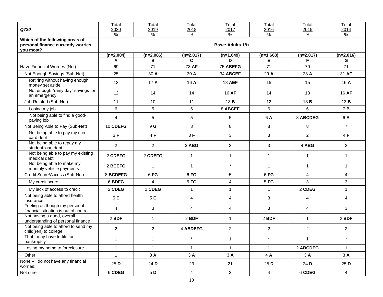| Q720                                                                               | Total<br>2020<br>$\frac{0}{0}$ | Total<br>2019<br>$\%$ | Total<br>2018<br>$\frac{9}{6}$ | Total<br>2017<br>$\frac{0}{0}$ | Total<br>2016<br>$\%$ | Total<br>2015<br>$\frac{9}{6}$ | Total<br>2014<br>$\frac{9}{6}$ |
|------------------------------------------------------------------------------------|--------------------------------|-----------------------|--------------------------------|--------------------------------|-----------------------|--------------------------------|--------------------------------|
| Which of the following areas of<br>personal finance currently worries<br>you most? |                                |                       |                                | Base: Adults 18+               |                       |                                |                                |
|                                                                                    | $(n=2,004)$                    | $(n=2,086)$<br>В      | $(n=2,017)$<br>C               | $(n=1,649)$<br>D               | $(n=1,668)$<br>Е      | $(n=2,017)$<br>F.              | $(n=2,016)$                    |
| Have Financial Worries (Net)                                                       | Α<br>69                        | 71                    | 73 AF                          | 75 ABEFG                       | 71                    | 70                             | G<br>71                        |
| Not Enough Savings (Sub-Net)                                                       | 25                             | 30 A                  | 30 A                           | 34 ABCEF                       | 29 A                  | 28 A                           | 31 AF                          |
| Retiring without having enough<br>money set aside                                  | 13                             | 17A                   | 16 A                           | <b>18 AEF</b>                  | 15                    | 15                             | 16 A                           |
| Not enough "rainy day" savings for<br>an emergency                                 | 12                             | 14                    | 14                             | 16 AF                          | 14                    | 13                             | 16 AF                          |
| Job-Related (Sub-Net)                                                              | 11                             | 10                    | 11                             | 13 <b>B</b>                    | 12                    | 13 B                           | 13B                            |
| Losing my job                                                                      | 6                              | 5                     | 6                              | 8 ABCEF                        | 6                     | 6                              | 7 B                            |
| Not being able to find a good-<br>paying job                                       | 4                              | 5                     | 5                              | 5                              | 6 A                   | 8 ABCDEG                       | 6 A                            |
| Not Being Able to Pay (Sub-Net)                                                    | 10 CDEFG                       | 9 G                   | 8                              | 8                              | 8                     | 8                              | $\overline{7}$                 |
| Not being able to pay my credit<br>card debt                                       | 3F                             | 4 F                   | 3F                             | 3                              | 3                     | $\overline{2}$                 | 4 F                            |
| Not being able to repay my<br>student loan debt                                    | $\overline{a}$                 | $\overline{2}$        | 3 ABG                          | 3                              | 3                     | 4 ABG                          | $\overline{2}$                 |
| Not being able to pay my existing<br>medical debt                                  | 2 CDEFG                        | 2 CDEFG               | $\mathbf{1}$                   | $\mathbf{1}$                   | 1                     | $\mathbf{1}$                   | $\mathbf{1}$                   |
| Not being able to make my<br>monthly vehicle payments                              | 2 BCEFG                        | $\mathbf{1}$          | $\mathbf{1}$                   | $\star$                        | $\mathbf{1}$          | $\mathbf{1}$                   | $\mathbf{1}$                   |
| Credit Score/Access (Sub-Net)                                                      | 8 BCDEFG                       | 6FG                   | 6FG                            | 5                              | 6FG                   | $\overline{4}$                 | $\overline{4}$                 |
| My credit score                                                                    | 6 BDFG                         | 4                     | $5$ FG                         | 4                              | 5 FG                  | 3                              | 3                              |
| My lack of access to credit                                                        | 2 CDEG                         | 2 CDEG                | $\mathbf{1}$                   | $\mathbf{1}$                   | $\mathbf{1}$          | 2 CDEG                         | $\mathbf{1}$                   |
| Not being able to afford health<br>insurance                                       | 5E                             | 5E                    | 4                              | 4                              | 3                     | 4                              | 4                              |
| Feeling as though my personal<br>financial situation is out of control             | 4                              | 3                     | 4                              | 4                              | 3                     | 4                              | 3                              |
| Not having a good, overall<br>understanding of personal finance                    | 2 BDF                          | $\mathbf{1}$          | 2 BDF                          | $\mathbf{1}$                   | 2 BDF                 | $\mathbf{1}$                   | 2 BDF                          |
| Not being able to afford to send my<br>child(ren) to college                       | $\overline{c}$                 | $\overline{c}$        | 4 ABDEFG                       | $\overline{c}$                 | $\overline{2}$        | $\overline{c}$                 | $\overline{c}$                 |
| That I may have to file for<br>bankruptcy                                          | $\mathbf{1}$                   | $\mathbf{1}$          | $\star$                        | $\mathbf{1}$                   | $\star$               | $\mathbf{1}$                   | $\star$                        |
| Losing my home to foreclosure                                                      | $\mathbf{1}$                   | $\mathbf{1}$          | $\mathbf{1}$                   | $\mathbf{1}$                   | $\mathbf{1}$          | 2 ABCDEG                       | $\mathbf{1}$                   |
| Other                                                                              | $\mathbf{1}$                   | 3A                    | 3A                             | 3A                             | 4 A                   | 3A                             | 3A                             |
| None - I do not have any financial<br>worries.                                     | 25 D                           | 24 D                  | 23                             | 21                             | 25 D                  | 24 D                           | 25 D                           |
| Not sure                                                                           | 6 CDEG                         | 5 D                   | $\overline{4}$                 | 3 <sup>1</sup>                 | $\overline{4}$        | 6 CDEG                         | $\overline{4}$                 |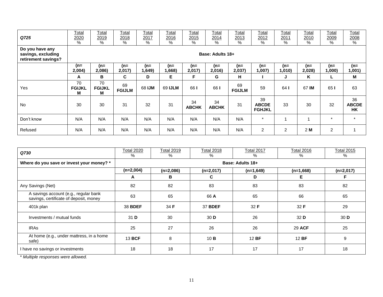| Q725                                                         | <u>Total</u><br>2020<br>% | <u>Total</u><br>2019<br>% | <b>Total</b><br>2018<br>% | <b>Total</b><br>2017<br>% | Total<br>2016<br>% | <b>Total</b><br>2015<br>% | Total<br>2014<br>% | <u>Total</u><br>2013<br>% | <u>Total</u><br>2012<br>%           | <u>Total</u><br>2011<br>% | <u>Total</u><br><u> 2010</u><br>% | Total<br>2009<br>$\%$ | <u>Total</u><br>2008<br>$\%$    |
|--------------------------------------------------------------|---------------------------|---------------------------|---------------------------|---------------------------|--------------------|---------------------------|--------------------|---------------------------|-------------------------------------|---------------------------|-----------------------------------|-----------------------|---------------------------------|
| Do you have any<br>savings, excluding<br>retirement savings? |                           |                           |                           |                           |                    |                           | Base: Adults 18+   |                           |                                     |                           |                                   |                       |                                 |
|                                                              | (n=<br>2,004)             | (n=<br>2,086)             | $(n=$<br>2,017)           | (n=<br>1,649)             | (n=<br>1,668)      | (n=<br>2,017)             | $(n=$<br>2,016)    | $(n=$<br>2,037)           | $(n=$<br>,007)                      | $(n=$<br>1,010)           | $(n=$<br>2,028)                   | $(n=$<br>,000)        | (n=<br>1,001)                   |
|                                                              | A                         | В                         | C.                        | D                         | Е                  | F                         | G                  | н                         |                                     | J                         | Κ                                 | ц                     | M                               |
| Yes                                                          | 70<br><b>FGIJKL</b><br>М  | 70<br><b>FGIJKL</b><br>М  | 69<br><b>FGIJLM</b>       | 68 IJM                    | 69 IJLM            | 66 I                      | 66 I               | 69<br><b>FGIJLM</b>       | 59                                  | 64 I                      | 67 IM                             | 65 I                  | 63                              |
| <b>No</b>                                                    | 30                        | 30                        | 31                        | 32                        | 31                 | 34<br><b>ABCHK</b>        | 34<br><b>ABCHK</b> | 31                        | 39<br><b>ABCDE</b><br><b>FGHJKL</b> | 33                        | 30                                | 32                    | 36<br><b>ABCDE</b><br><b>HK</b> |
| Don't know                                                   | N/A                       | N/A                       | N/A                       | N/A                       | N/A                | N/A                       | N/A                | N/A                       | $\star$                             |                           |                                   | $\star$               | $\star$                         |
| Refused                                                      | N/A                       | N/A                       | N/A                       | N/A                       | N/A                | N/A                       | N/A                | N/A                       | $\overline{2}$                      | $\overline{2}$            | 2 M                               | $\overline{c}$        |                                 |

| Q730                                                                            | <b>Total 2020</b><br>$\%$ | <b>Total 2019</b><br>% | <b>Total 2018</b><br>% | <b>Total 2017</b><br>% | <b>Total 2016</b><br>% | <b>Total 2015</b><br>% |
|---------------------------------------------------------------------------------|---------------------------|------------------------|------------------------|------------------------|------------------------|------------------------|
| Where do you save or invest your money? *                                       |                           |                        |                        | Base: Adults 18+       |                        |                        |
|                                                                                 | $(n=2,004)$               | $(n=2,086)$            | $(n=2,017)$            | $(n=1,649)$            | $(n=1,668)$            | $(n=2,017)$            |
|                                                                                 | A                         | в                      | C.                     | D                      | Е                      | F                      |
| Any Savings (Net)                                                               | 82                        | 82                     | 83                     | 83                     | 83                     | 82                     |
| A savings account (e.g., regular bank<br>savings, certificate of deposit, money | 63                        | 65                     | 66 A                   | 65                     | 66                     | 65                     |
| 401k plan                                                                       | 38 BDEF                   | 34 F                   | <b>37 BDEF</b>         | 32 F                   | 32 F                   | 29                     |
| Investments / mutual funds                                                      | 31 D                      | 30                     | 30 <sub>D</sub>        | 26                     | 32 D                   | 30 <sub>D</sub>        |
| <b>IRAS</b>                                                                     | 25                        | 27                     | 26                     | 26                     | <b>29 ACF</b>          | 25                     |
| At home (e.g., under mattress, in a home<br>safe)                               | 13 BCF                    | 8                      | 10B                    | 12 BF                  | 12 BF                  | 9                      |
| I have no savings or investments                                                | 18                        | 18                     | 17                     | 17                     | 17                     | 18                     |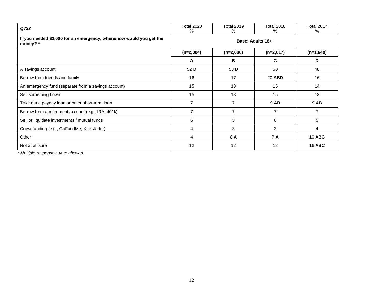| Q733                                                                            | <b>Total 2020</b><br>% | <b>Total 2019</b><br>% | <b>Total 2018</b><br>% | Total 2017<br>% |
|---------------------------------------------------------------------------------|------------------------|------------------------|------------------------|-----------------|
| If you needed \$2,000 for an emergency, where/how would you get the<br>money? * |                        |                        | Base: Adults 18+       |                 |
|                                                                                 | $(n=2,004)$            | $(n=2,086)$            | $(n=2,017)$            | $(n=1,649)$     |
|                                                                                 | A                      | в                      | C                      | D               |
| A savings account                                                               | 52 D                   | 53 D                   | 50                     | 48              |
| Borrow from friends and family                                                  | 16                     | 17                     | 20 ABD                 | 16              |
| An emergency fund (separate from a savings account)                             | 15                     | 13                     | 15                     | 14              |
| Sell something I own                                                            | 15                     | 13                     | 15                     | 13              |
| Take out a payday loan or other short-term loan                                 | 7                      | $\overline{7}$         | 9 AB                   | 9 AB            |
| Borrow from a retirement account (e.g., IRA, 401k)                              | $\overline{7}$         | $\overline{7}$         | 7                      | 7               |
| Sell or liquidate investments / mutual funds                                    | 6                      | 5                      | 6                      | 5               |
| Crowdfunding (e.g., GoFundMe, Kickstarter)                                      | 4                      | 3                      | 3                      | 4               |
| Other                                                                           | $\overline{4}$         | 8 A                    | 7 A                    | <b>10 ABC</b>   |
| Not at all sure                                                                 | 12                     | 12                     | 12                     | <b>16 ABC</b>   |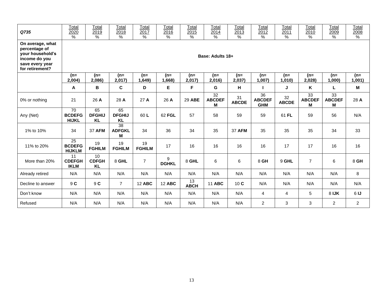| Q735                                                                                                         | Total<br>2020<br>$\%$                             | Total<br>2019<br>$\%$            | Total<br>2018<br>$\%$                 | Total<br>2017<br>$\%$ | Total<br>2016<br>$\%$ | Total<br>2015<br>$\%$ | Total<br>2014<br>$\%$    | Total<br>2013<br>$\%$ | Total<br>2012<br>%                             | Total<br>2011<br>$\%$ | Total<br>2010<br>$\%$    | Total<br>2009<br>$\%$    | Total<br>2008<br>% |
|--------------------------------------------------------------------------------------------------------------|---------------------------------------------------|----------------------------------|---------------------------------------|-----------------------|-----------------------|-----------------------|--------------------------|-----------------------|------------------------------------------------|-----------------------|--------------------------|--------------------------|--------------------|
| On average, what<br>percentage of<br>your household's<br>income do you<br>save every year<br>for retirement? |                                                   |                                  |                                       |                       |                       |                       | Base: Adults 18+         |                       |                                                |                       |                          |                          |                    |
|                                                                                                              | (n=<br>2,004)                                     | (n=<br>2,086)                    | $(n=$<br>2,017                        | (n=<br>1,649)         | (n=<br>1,668)         | (n=<br>2,017)         | $(n=$<br>2,016)          | (n=<br>2,037)         | $(n=$<br>1,007                                 | (n=<br>1,010          | (n=<br>2,028)            | $(n=$<br>1,000           | $(n=$<br>1,001)    |
|                                                                                                              | A                                                 | В                                | $\mathbf c$                           | D                     | E                     | F                     | G                        | н                     |                                                | J                     | Κ                        | L                        | M                  |
| 0% or nothing                                                                                                | 21                                                | 26 A                             | 28 A                                  | 27 A                  | 26 A                  | 29 ABE                | 32<br><b>ABCDEF</b><br>М | 31<br><b>ABCDE</b>    | $\overline{36}$<br><b>ABCDEF</b><br><b>GHM</b> | 32<br><b>ABCDE</b>    | 33<br><b>ABCDEF</b><br>М | 33<br><b>ABCDEF</b><br>М | 28 A               |
| Any (Net)                                                                                                    | 70<br><b>BCDEFG</b><br><b>HIJKL</b>               | 65<br><b>DFGHIJ</b><br><b>KL</b> | 65<br><b>DFGHIJ</b><br><b>KL</b>      | 60L                   | 62 FGL                | 57                    | 58                       | 59                    | 59                                             | 61 FL                 | 59                       | 56                       | N/A                |
| 1% to 10%                                                                                                    | 34                                                | <b>37 AFM</b>                    | $\overline{38}$<br><b>ADFGKL</b><br>M | 34                    | 36                    | 34                    | 35                       | <b>37 AFM</b>         | 35                                             | 35                    | 35                       | 34                       | 33                 |
| 11% to 20%                                                                                                   | $\overline{25}$<br><b>BCDEFG</b><br><b>HIJKLM</b> | 19<br><b>FGHILM</b>              | 19<br><b>FGHILM</b>                   | 19<br><b>FGHILM</b>   | 17                    | 16                    | 16                       | 16                    | 16                                             | 17                    | 17                       | 16                       | 16                 |
| More than 20%                                                                                                | 11<br><b>CDEFGH</b><br><b>IKLM</b>                | 10<br><b>CDFGH</b><br><b>KL</b>  | 8 GHL                                 | $\overline{7}$        | 9<br><b>DGHKL</b>     | 8 GHL                 | 6                        | 6                     | 8 GH                                           | 9 GHL                 | $\overline{7}$           | 6                        | 8 GH               |
| Already retired                                                                                              | N/A                                               | N/A                              | N/A                                   | N/A                   | N/A                   | N/A                   | N/A                      | N/A                   | N/A                                            | N/A                   | N/A                      | N/A                      | 8                  |
| Decline to answer                                                                                            | 9 C                                               | 9 C                              | $\overline{7}$                        | <b>12 ABC</b>         | <b>12 ABC</b>         | 13<br><b>ABCH</b>     | <b>11 ABC</b>            | 10C                   | N/A                                            | N/A                   | N/A                      | N/A                      | N/A                |
| Don't know                                                                                                   | N/A                                               | N/A                              | N/A                                   | N/A                   | N/A                   | N/A                   | N/A                      | N/A                   | 4                                              | 4                     | 5                        | 8 IJK                    | 6 <sub>1</sub>     |
| Refused                                                                                                      | N/A                                               | N/A                              | N/A                                   | N/A                   | N/A                   | N/A                   | N/A                      | N/A                   | $\overline{a}$                                 | 3                     | 3                        | $\overline{2}$           | $\overline{2}$     |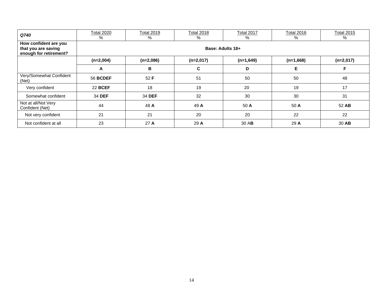| Q740                                                                   | <b>Total 2020</b><br>% | <b>Total 2019</b><br>% | <b>Total 2018</b><br>% | Total 2017<br>%  | <b>Total 2016</b><br>% | <b>Total 2015</b><br>% |
|------------------------------------------------------------------------|------------------------|------------------------|------------------------|------------------|------------------------|------------------------|
| How confident are you<br>that you are saving<br>enough for retirement? |                        |                        |                        | Base: Adults 18+ |                        |                        |
|                                                                        | $(n=2,004)$            | $(n=2,086)$            | $(n=2,017)$            | $(n=1,649)$      | $(n=1,668)$            | $(n=2,017)$            |
|                                                                        | A                      | в                      | C                      | D                | Е                      | F                      |
| Very/Somewhat Confident<br>(Net)                                       | <b>56 BCDEF</b>        | 52 F                   | 51                     | 50               | 50                     | 48                     |
| Very confident                                                         | <b>22 BCEF</b>         | 18                     | 19                     | 20               | 19                     | 17                     |
| Somewhat confident                                                     | 34 DEF                 | 34 DEF                 | 32                     | 30               | 30                     | 31                     |
| Not at all/Not Very<br>Confident (Net)                                 | 44                     | 48 A                   | 49 A                   | 50 A             | 50 A                   | 52 AB                  |
| Not very confident                                                     | 21                     | 21                     | 20                     | 20               | 22                     | 22                     |
| Not confident at all                                                   | 23                     | 27A                    | 29 A                   | 30 AB            | 29 A                   | 30 AB                  |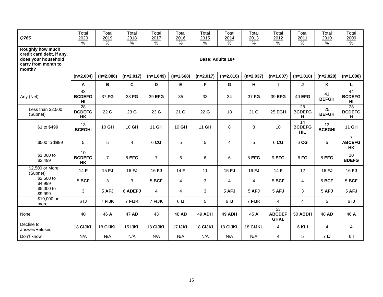| Q765                                                                                                         | Total<br>2020<br>%        | Total<br>2019<br>$\%$ | Total<br>2018<br>$\%$ | Total<br>2017<br>% | Total<br>2016<br>$\%$ | Total<br>2015<br>% | Total<br>2014<br>$\%$ | Total<br>2013<br>$\%$ | Total<br>2012<br>%                              | Total<br>2011<br>$\%$                          | Total<br>2010<br>$\%$ | Total<br>2009<br>%                           |
|--------------------------------------------------------------------------------------------------------------|---------------------------|-----------------------|-----------------------|--------------------|-----------------------|--------------------|-----------------------|-----------------------|-------------------------------------------------|------------------------------------------------|-----------------------|----------------------------------------------|
| <b>Roughly how much</b><br>credit card debt, if any,<br>does your household<br>carry from month to<br>month? |                           |                       |                       |                    |                       |                    | Base: Adults 18+      |                       |                                                 |                                                |                       |                                              |
|                                                                                                              | $(n=2,004)$               | $(n=2,086)$           | $(n=2,017)$           | $(n=1,649)$        | $(n=1,668)$           | $(n=2,017)$        | $(n=2,016)$           | $(n=2,037)$           | $(n=1,007)$                                     | $(n=1,010)$                                    | $(n=2,028)$           | $(n=1,000)$                                  |
|                                                                                                              | A                         | B                     | $\mathbf c$           | D                  | E                     | F                  | G                     | н                     | $\mathbf{I}$                                    | J                                              | K                     | Г                                            |
| Any (Net)                                                                                                    | 43<br><b>BCDEFG</b><br>HI | 37 FG                 | 38 FG                 | 39 EFG             | 35                    | 33                 | 34                    | 37 FG                 | 39 EFG                                          | <b>40 EFG</b>                                  | 41<br><b>BEFGH</b>    | 44<br><b>BCDEFG</b><br>HI                    |
| Less than $$2,500$<br>(Subnet)                                                                               | 28<br><b>BCDEFG</b><br>HK | 22G                   | 23 G                  | 23 G               | 21 <sub>G</sub>       | 22 G               | 18                    | 21 <sub>G</sub>       | 25 EGH                                          | 28<br><b>BCDEFG</b><br>н                       | 25<br><b>BEFGH</b>    | 28<br><b>BCDEFG</b><br>н                     |
| \$1 to \$499                                                                                                 | 13<br><b>BCEGHI</b>       | 10 GH                 | 10 GH                 | 11 GH              | 10 GH                 | 11 GH              | 8                     | 8                     | 10                                              | $\overline{14}$<br><b>BCDEFG</b><br><b>HIL</b> | 13<br><b>BCEGHI</b>   | 11 GH                                        |
| \$500 to \$999                                                                                               | 5                         | 5                     | 4                     | 6 CG               | 5                     | 5                  | $\overline{4}$        | 5                     | 6 CG                                            | 6 CG                                           | 5                     | $\overline{7}$<br><b>ABCEFG</b><br><b>HK</b> |
| \$1,000 to<br>\$2,499                                                                                        | 10<br><b>BCDEFG</b><br>HK | $\overline{7}$        | 8 EFG                 | $\overline{7}$     | 6                     | 6                  | 6                     | 8 EFG                 | 9 EFG                                           | 8 FG                                           | 8 EFG                 | 10<br><b>BDEFG</b>                           |
| \$2,500 or More<br>(Subnet)                                                                                  | 14F                       | 15 FJ                 | 16 FJ                 | 16 FJ              | 14F                   | 11                 | 15 FJ                 | 16 FJ                 | 14F                                             | 12                                             | 16 FJ                 | 16 FJ                                        |
| \$2,500 to<br>\$4,999                                                                                        | 5 BCF                     | 3                     | 3                     | 5 BCF              | $\overline{4}$        | 3                  | $\overline{4}$        | $\overline{4}$        | 5 BCF                                           | $\overline{4}$                                 | 5 BCF                 | 5 BCF                                        |
| \$5,000 to<br>\$9,999                                                                                        | 3                         | 5 AFJ                 | 6 ADEFJ               | 4                  | 4                     | 3                  | 5 AFJ                 | 5 AFJ                 | 5 AFJ                                           | 3                                              | 5 AFJ                 | 5 AFJ                                        |
| \$10,000 or<br>more                                                                                          | 6 <sub>1</sub>            | 7 FIJK                | 7 FIJK                | 7 FIJK             | 6IJ                   | 5                  | 6 <sub>1</sub>        | 7 FIJK                | 4                                               | 4                                              | 5                     | 6 <sub>1</sub>                               |
| None                                                                                                         | 40                        | 46 A                  | 47 AD                 | 43                 | 48 AD                 | <b>49 ADH</b>      | <b>49 ADH</b>         | 45 A                  | $\overline{53}$<br><b>ABCDEF</b><br><b>GHKL</b> | 50 ABDH                                        | 48 AD                 | 46 A                                         |
| Decline to<br>answer/Refused                                                                                 | 18 CIJKL                  | 18 CIJKL              | <b>15 IJKL</b>        | 18 CIJKL           | <b>17 IJKL</b>        | 18 CIJKL           | 18 CIJKL              | 18 CIJKL              | 4                                               | 6 KLI                                          | $\overline{4}$        | 4                                            |
| Don't know                                                                                                   | N/A                       | N/A                   | N/A                   | N/A                | N/A                   | N/A                | N/A                   | N/A                   | 4                                               | 5                                              | 7 <sub>l</sub>        | 61                                           |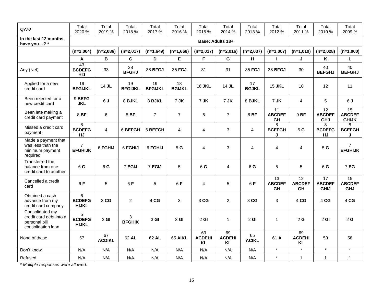| Q770                                                                              | Total<br>2020 %                                | Total<br>2019 %     | Total<br>2018 %      | Total<br>2017 %      | Total<br>2016 %     | Total<br>2015 %                  | Total<br>2014 %                  | Total<br>2013 %    | Total<br>2012 %                  | Total<br>2011 %                  | Total<br>2010 %                                | Total<br>2009 %                     |
|-----------------------------------------------------------------------------------|------------------------------------------------|---------------------|----------------------|----------------------|---------------------|----------------------------------|----------------------------------|--------------------|----------------------------------|----------------------------------|------------------------------------------------|-------------------------------------|
| In the last 12 months.<br>have you? *                                             |                                                |                     |                      |                      |                     | Base: Adults 18+                 |                                  |                    |                                  |                                  |                                                |                                     |
|                                                                                   | $(n=2,004)$                                    | $(n=2,086)$         | $(n=2,017)$          | $(n=1,649)$          | $(n=1,668)$         | $(n=2,017)$                      | $(n=2,016)$                      | $(n=2,037)$        | $(n=1,007)$                      | $(n=1,010)$                      | $(n=2,028)$                                    | $(n=1,000)$                         |
|                                                                                   | A                                              | В                   | $\mathbf c$          | D                    | E                   | F                                | G                                | н                  | L                                | J                                | K                                              | L                                   |
| Any (Net)                                                                         | $\overline{43}$<br><b>BCDEFG</b><br><b>HIJ</b> | 33                  | 38<br><b>BFGHJ</b>   | 38 BFGJ              | 35 FGJ              | 31                               | 31                               | 35 FGJ             | 38 BFGJ                          | 30                               | 40<br><b>BEFGHJ</b>                            | 40<br><b>BEFGHJ</b>                 |
| Applied for a new<br>credit card                                                  | 19<br><b>BFGIJKL</b>                           | 14 JL               | 19<br><b>BFGIJKL</b> | 19<br><b>BFGIJKL</b> | 18<br><b>BGIJKL</b> | <b>16 JKL</b>                    | 14 JL                            | 17<br><b>BGJKL</b> | <b>15 JKL</b>                    | 10                               | 12                                             | 11                                  |
| Been rejected for a<br>new credit card                                            | 9 BEFG<br><b>JKL</b>                           | 6J                  | 8 BJKL               | 8 BJKL               | 7 JK                | 7 JK                             | 7 JK                             | 8 BJKL             | 7 JK                             | 4                                | 5                                              | 6J                                  |
| Been late making a<br>credit card payment                                         | 8 BF                                           | 6                   | 8 BF                 | $\overline{7}$       | $\overline{7}$      | 6                                | $\overline{7}$                   | 8 BF               | 11<br><b>ABCDEF</b><br>GH        | 9 BF                             | $\overline{12}$<br><b>ABCDEF</b><br><b>GHJ</b> | 15<br><b>ABCDEF</b><br><b>GHIJK</b> |
| Missed a credit card<br>payment                                                   | 8<br><b>BCDEFG</b><br>HJ                       | $\overline{4}$      | 6 BEFGH              | 6 BEFGH              | 4                   | 4                                | 3                                | 4                  | 8<br><b>BCEFGH</b><br>J          | 5G                               | 8<br><b>BCDEFG</b><br>HJ                       | 8<br><b>BCEFGH</b><br>J             |
| Made a payment that<br>was less than the<br>minimum payment<br>required           | $\overline{7}$<br><b>EFGHIJK</b>               | 6 FGHIJ             | 6 FGHIJ              | 6 FGHIJ              | 5 G                 | 4                                | 3                                | 4                  | $\overline{4}$                   | $\overline{4}$                   | 5 G                                            | $\overline{7}$<br><b>EFGHIJK</b>    |
| Transferred the<br>balance from one<br>credit card to another                     | 6 G                                            | 6 G                 | 7 EGIJ               | 7 EGIJ               | 5                   | 6 G                              | 4                                | 6 G                | 5                                | 5                                | 6 G                                            | 7 EG                                |
| Cancelled a credit<br>card                                                        | 6F                                             | 5                   | 6F                   | 5                    | 6 F                 | 4                                | 5                                | 6F                 | 13<br><b>ABCDEF</b><br><b>GH</b> | 12<br><b>ABCDEF</b><br><b>GH</b> | 17<br><b>ABCDEF</b><br><b>GHIJ</b>             | 15<br><b>ABCDEF</b><br><b>GHJ</b>   |
| Obtained a cash<br>advance from my<br>credit card company                         | 6<br><b>BCDEFG</b><br><b>HIJKL</b>             | 3 CG                | $\overline{c}$       | 4 CG                 | 3                   | 3 CG                             | $\overline{2}$                   | 3 CG               | $\mathbf{3}$                     | 4 CG                             | 4 CG                                           | 4 CG                                |
| Consolidated my<br>credit card debt into a<br>personal bill<br>consolidation loan | 5<br><b>BCDEFG</b><br><b>HIJKL</b>             | $2$ GI              | 3<br><b>BFGHIK</b>   | 3 GI                 | 3 <sub>GI</sub>     | $2$ GI                           | $\mathbf{1}$                     | $2$ GI             | $\mathbf{1}$                     | 2 <sub>G</sub>                   | $2$ GI                                         | 2G                                  |
| None of these                                                                     | 57                                             | 67<br><b>ACDIKL</b> | 62 AL                | 62 AL                | 65 AIKL             | 69<br><b>ACDEHI</b><br><b>KL</b> | 69<br><b>ACDEHI</b><br><b>KL</b> | 65<br><b>ACIKL</b> | 61 A                             | 69<br><b>ACDEHI</b><br><b>KL</b> | 59                                             | 58                                  |
| Don't know                                                                        | N/A                                            | N/A                 | N/A                  | N/A                  | N/A                 | N/A                              | N/A                              | N/A                | $\star$                          | $\star$                          | $\star$                                        | $\star$                             |
| Refused                                                                           | N/A                                            | N/A                 | N/A                  | N/A                  | N/A                 | N/A                              | N/A                              | N/A                | $\star$                          | $\mathbf{1}$                     | $\overline{1}$                                 | $\mathbf{1}$                        |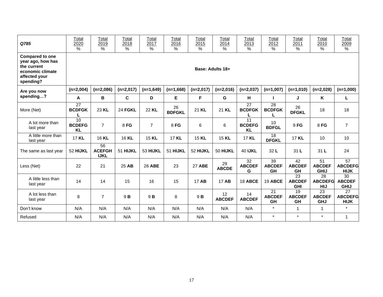| Q785                                                                                                         | Total<br>2020<br>$\%$            | Total<br>2019<br>%                 | Total<br>2018<br>$\%$ | Total<br>2017<br>$\%$ | Total<br>2016<br>%  | Total<br>2015<br>$\%$ | Total<br>2014<br>$\%$ | Total<br>2013<br>$\%$                 | Total<br>2012<br>%               | Total<br>2011<br>%         | Total<br>2010<br>$\%$                           | Total<br>2009<br>%                  |  |  |
|--------------------------------------------------------------------------------------------------------------|----------------------------------|------------------------------------|-----------------------|-----------------------|---------------------|-----------------------|-----------------------|---------------------------------------|----------------------------------|----------------------------|-------------------------------------------------|-------------------------------------|--|--|
| <b>Compared to one</b><br>year ago, how has<br>the current<br>economic climate<br>affected your<br>spending? |                                  | Base: Adults 18+                   |                       |                       |                     |                       |                       |                                       |                                  |                            |                                                 |                                     |  |  |
| Are you now                                                                                                  | $(n=2,004)$                      | $(n=2,086)$                        | $(n=2,017)$           | $(n=1,649)$           | $(n=1,668)$         | $(n=2,017)$           | $(n=2,016)$           | $(n=2,037)$                           | $(n=1,007)$                      | $(n=1,010)$                | $(n=2,028)$                                     | $(n=1,000)$                         |  |  |
| spending?                                                                                                    | A                                | В                                  | C                     | D                     | E.                  | F                     | G                     | H                                     | $\mathbf{L}$                     | J                          | K                                               | L                                   |  |  |
| More (Net)                                                                                                   | 27<br><b>BCDFGK</b>              | 23 KL                              | 24 FGKL               | 22 KL                 | 26<br><b>BDFGKL</b> | 21 KL                 | 21 KL                 | 27<br><b>BCDFGK</b>                   | 28<br><b>BCDFGK</b>              | 26<br><b>DFGKL</b>         | 18                                              | 18                                  |  |  |
| A lot more than<br>last year                                                                                 | 10<br><b>BCDEFG</b><br><b>KL</b> | $\overline{7}$                     | 8 FG                  | $\overline{7}$        | 8 FG                | 6                     | 6                     | 11<br><b>BCDEFG</b><br><b>KL</b>      | 10<br><b>BDFGL</b>               | 9FG                        | 8 FG                                            | $\overline{7}$                      |  |  |
| A little more than<br>last year                                                                              | 17 KL                            | 16 KL                              | 16 KL                 | 15 KL                 | 17 KL               | 15 KL                 | 15 KL                 | 17 KL                                 | 18<br><b>DFGKL</b>               | 17 KL                      | 10                                              | 10                                  |  |  |
| The same as last year                                                                                        | 52 HIJKL                         | 56<br><b>ACEFGH</b><br><b>IJKL</b> | 51 HIJKL              | 53 HIJKL              | 51 HIJKL            | 52 HIJKL              | 50 HIJKL              | <b>40 IJKL</b>                        | 32L                              | 31 L                       | 31 L                                            | 24                                  |  |  |
| Less (Net)                                                                                                   | 22                               | 21                                 | 25 AB                 | 26 ABE                | 23                  | <b>27 ABE</b>         | 29<br><b>ABCDE</b>    | $\overline{32}$<br><b>ABCDEF</b><br>G | 39<br><b>ABCDEF</b><br>GH        | 42<br><b>ABCDEF</b><br>GH  | $\overline{51}$<br><b>ABCDEF</b><br><b>GHIJ</b> | 57<br><b>ABCDEFG</b><br><b>HIJK</b> |  |  |
| A little less than<br>last year                                                                              | 14                               | 14                                 | 15                    | 16                    | 15                  | 17 AB                 | 17 AB                 | 18 ABCE                               | 19 ABCE                          | 23<br><b>ABCDEF</b><br>GHI | 28<br><b>ABCDEFG</b><br><b>HIJ</b>              | 30<br><b>ABCDEF</b><br><b>GHIJ</b>  |  |  |
| A lot less than<br>last year                                                                                 | 8                                | $\overline{7}$                     | 9 <b>B</b>            | 9B                    | 8                   | 9B                    | 12<br><b>ABCDEF</b>   | 14<br><b>ABCDEF</b>                   | 21<br><b>ABCDEF</b><br><b>GH</b> | 19<br><b>ABCDEF</b><br>GH  | 23<br><b>ABCDEF</b><br><b>GHJ</b>               | 27<br><b>ABCDEFG</b><br><b>HIJK</b> |  |  |
| Don't know                                                                                                   | N/A                              | N/A                                | N/A                   | N/A                   | N/A                 | N/A                   | N/A                   | N/A                                   | $\star$                          | $\mathbf{1}$               | $\mathbf{1}$                                    | $\star$                             |  |  |
| Refused                                                                                                      | N/A                              | N/A                                | N/A                   | N/A                   | N/A                 | N/A                   | N/A                   | N/A                                   | $\star$                          | $\star$                    | $\star$                                         | $\mathbf{1}$                        |  |  |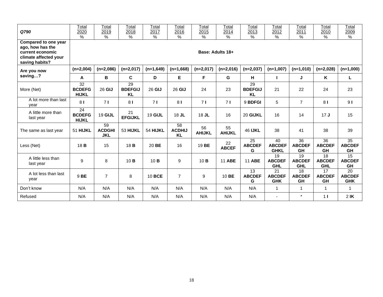| Q790                                                                                                    | Total<br>2020<br>$\%$                            | Total<br>2019<br>$\frac{9}{6}$    | Total<br>2018<br>$\frac{1}{2}$                 | Total<br>2017<br>$\%$ | Total<br>2016<br>$\%$            | Total<br>2015<br>$\%$ | Total<br>2014<br>$\frac{0}{0}$ | Total<br>2013<br>$\%$             | Total<br>2012<br>$\%$                          | Total<br>2011<br>$\%$                          | Total<br>2010<br>$\%$             | Total<br>2009<br>$\frac{9}{6}$         |
|---------------------------------------------------------------------------------------------------------|--------------------------------------------------|-----------------------------------|------------------------------------------------|-----------------------|----------------------------------|-----------------------|--------------------------------|-----------------------------------|------------------------------------------------|------------------------------------------------|-----------------------------------|----------------------------------------|
| Compared to one year<br>ago, how has the<br>current economic<br>climate affected your<br>saving habits? |                                                  |                                   |                                                |                       |                                  |                       | Base: Adults 18+               |                                   |                                                |                                                |                                   |                                        |
| Are you now                                                                                             | $(n=2,004)$                                      | $(n=2,086)$                       | $(n=2,017)$                                    | $(n=1,649)$           | $(n=1,668)$                      | $(n=2,017)$           | $(n=2,016)$                    | $(n=2,037)$                       | $(n=1,007)$                                    | $(n=1,010)$                                    | $(n=2,028)$                       | $(n=1,000)$                            |
| saving?                                                                                                 | A                                                | В                                 | C                                              | D                     | Е                                | F                     | G                              | н                                 |                                                | J                                              | Κ                                 | L                                      |
| More (Net)                                                                                              | $\overline{32}$<br><b>BCDEFG</b><br><b>HIJKL</b> | 26 GIJ                            | $\overline{29}$<br><b>BDEFGIJ</b><br><b>KL</b> | 26 GIJ                | 26 GIJ                           | 24                    | 23                             | 29<br><b>BDEFGIJ</b><br><b>KL</b> | 21                                             | 22                                             | 24                                | 23                                     |
| A lot more than last<br>vear                                                                            | 81                                               | 71                                | 8 <sub>1</sub>                                 | 71                    | 8 <sub>1</sub>                   | 71                    | 71                             | 9 BDFGI                           | 5                                              | $\overline{7}$                                 | 8 <sub>1</sub>                    | 9 <sub>l</sub>                         |
| A little more than<br>last year                                                                         | 24<br><b>BCDEFG</b><br><b>HIJKL</b>              | <b>19 GIJL</b>                    | 21<br><b>EFGIJKL</b>                           | 19 GIJL               | $18$ JL                          | $18$ JL               | 16                             | 20 GIJKL                          | 16                                             | 14                                             | 17J                               | 15                                     |
| The same as last year                                                                                   | 51 HIJKL                                         | 59<br><b>ACDGHI</b><br><b>JKL</b> | 53 HIJKL                                       | 54 HIJKL              | 58<br><b>ACDHIJ</b><br><b>KL</b> | 56<br><b>AHIJKL</b>   | 55<br><b>AHIJKL</b>            | <b>46 IJKL</b>                    | 38                                             | 41                                             | 38                                | 39                                     |
| Less (Net)                                                                                              | 18 <b>B</b>                                      | 15                                | 18 <b>B</b>                                    | 20 BE                 | 16                               | 19 BE                 | 22<br><b>ABCEF</b>             | 25<br><b>ABCDEF</b><br>G          | 40<br><b>ABCDEF</b><br><b>GHKL</b>             | 36<br><b>ABCDEF</b><br>GH                      | 36<br><b>ABCDEF</b><br>GH         | $\overline{35}$<br><b>ABCDEF</b><br>GH |
| A little less than<br>last year                                                                         | 9                                                | 8                                 | 10B                                            | 10B                   | 9                                | 10B                   | <b>11 ABE</b>                  | <b>11 ABE</b>                     | $\overline{19}$<br><b>ABCDEF</b><br><b>GHL</b> | $\overline{19}$<br><b>ABCDEF</b><br><b>GHL</b> | 18<br><b>ABCDEF</b><br><b>GHL</b> | $\overline{15}$<br><b>ABCDEF</b><br>GH |
| A lot less than last<br>year                                                                            | 9 BE                                             | $\overline{7}$                    | 8                                              | 10 BCE                | $\overline{7}$                   | 9                     | 10 BE                          | 13<br><b>ABCDEF</b><br>G          | 21<br><b>ABCDEF</b><br><b>GHK</b>              | 18<br><b>ABCDEF</b><br>GH                      | 17<br><b>ABCDEF</b><br>GH         | 20<br><b>ABCDEF</b><br><b>GHK</b>      |
| Don't know                                                                                              | N/A                                              | N/A                               | N/A                                            | N/A                   | N/A                              | N/A                   | N/A                            | N/A                               | $\mathbf{1}$                                   | $\mathbf{1}$                                   | -1                                | 1                                      |
| Refused                                                                                                 | N/A                                              | N/A                               | N/A                                            | N/A                   | N/A                              | N/A                   | N/A                            | N/A                               |                                                | $\star$                                        | 1 <sub>l</sub>                    | $2$ IK                                 |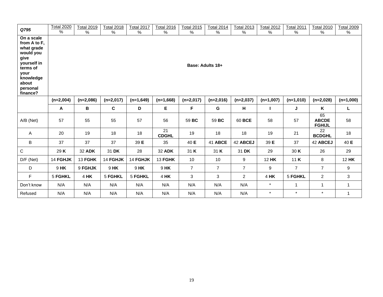| Q795                                                                                                                                           | <b>Total 2020</b><br>$\%$                                                                                                                                                                            | <b>Total 2019</b><br>$\%$ | <b>Total 2018</b><br>$\%$ | <b>Total 2017</b><br>$\%$ | <b>Total 2016</b><br>% | <b>Total 2015</b><br>% | <b>Total 2014</b><br>$\%$ | <b>Total 2013</b><br>$\%$ | <b>Total 2012</b><br>$\%$ | <b>Total 2011</b><br>$\%$ | <b>Total 2010</b><br>%              | <b>Total 2009</b><br>$\%$ |
|------------------------------------------------------------------------------------------------------------------------------------------------|------------------------------------------------------------------------------------------------------------------------------------------------------------------------------------------------------|---------------------------|---------------------------|---------------------------|------------------------|------------------------|---------------------------|---------------------------|---------------------------|---------------------------|-------------------------------------|---------------------------|
| On a scale<br>from A to F,<br>what grade<br>would you<br>give<br>yourself in<br>terms of<br>your<br>knowledge<br>about<br>personal<br>finance? | Base: Adults 18+<br>$(n=2,086)$<br>$(n=2,017)$<br>$(n=1,668)$<br>$(n=2,017)$<br>$(n=2,016)$<br>$(n=2,037)$<br>$(n=1,007)$<br>$(n=1,000)$<br>$(n=2,004)$<br>$(n=1,649)$<br>$(n=1,010)$<br>$(n=2,028)$ |                           |                           |                           |                        |                        |                           |                           |                           |                           |                                     |                           |
|                                                                                                                                                |                                                                                                                                                                                                      |                           |                           |                           |                        |                        |                           |                           |                           |                           |                                     |                           |
|                                                                                                                                                | A                                                                                                                                                                                                    | В                         | $\mathbf c$               | D                         | E                      | F                      | G                         | н                         |                           | J                         | K                                   | L                         |
| $A/B$ (Net)                                                                                                                                    | 57                                                                                                                                                                                                   | 55                        | 55                        | 57                        | 56                     | 59 BC                  | 59 BC                     | 60 BCE                    | 58                        | 57                        | 65<br><b>ABCDE</b><br><b>FGHIJL</b> | 58                        |
| $\mathsf{A}$                                                                                                                                   | 20                                                                                                                                                                                                   | 19                        | 18                        | 18                        | 21<br><b>CDGHL</b>     | 19                     | 18                        | 18                        | 19                        | 21                        | 22<br><b>BCDGHL</b>                 | 18                        |
| $\sf{B}$                                                                                                                                       | 37                                                                                                                                                                                                   | 37                        | 37                        | 39 E                      | 35                     | 40 E                   | 41 ABCE                   | 42 ABCEJ                  | 39 E                      | 37                        | 42 ABCEJ                            | 40 E                      |
| $\mathbf C$                                                                                                                                    | 29 K                                                                                                                                                                                                 | 32 ADK                    | 31 DK                     | 28                        | 32 ADK                 | 31 K                   | 31 K                      | 31 DK                     | 29                        | 30 K                      | 26                                  | 29                        |
| $D/F$ (Net)                                                                                                                                    | 14 FGHJK                                                                                                                                                                                             | 13 FGHK                   | 14 FGHJK                  | 14 FGHJK                  | 13 FGHK                | 10                     | 10                        | 9                         | <b>12 HK</b>              | 11 $K$                    | 8                                   | <b>12 HK</b>              |
| D                                                                                                                                              | 9 HK                                                                                                                                                                                                 | 9 FGHJK                   | 9 HK                      | 9 HK                      | 9 HK                   | $\overline{7}$         | $\overline{7}$            | $\overline{7}$            | 9                         | $\overline{7}$            | $\overline{7}$                      | 9                         |
| F                                                                                                                                              | 5 FGHKL                                                                                                                                                                                              | 4 HK                      | 5 FGHKL                   | 5 FGHKL                   | 4 HK                   | 3                      | 3                         | $\overline{2}$            | 4 HK                      | 5 FGHKL                   | $\overline{2}$                      | 3                         |
| Don't know                                                                                                                                     | N/A                                                                                                                                                                                                  | N/A                       | N/A                       | N/A                       | N/A                    | N/A                    | N/A                       | N/A                       | $\star$                   | $\mathbf{1}$              | $\mathbf{1}$                        | $\mathbf{1}$              |
| Refused                                                                                                                                        | N/A                                                                                                                                                                                                  | N/A                       | N/A                       | N/A                       | N/A                    | N/A                    | N/A                       | N/A                       | $\star$                   | $\star$                   | $\star$                             | $\mathbf{1}$              |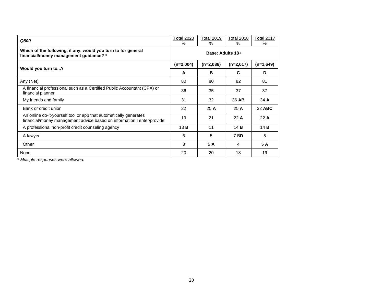| Q800                                                                                                                                        | <b>Total 2020</b><br>$\%$ | <b>Total 2019</b><br>$\%$ | <b>Total 2018</b><br>℅ | <b>Total 2017</b><br>% |  |  |  |
|---------------------------------------------------------------------------------------------------------------------------------------------|---------------------------|---------------------------|------------------------|------------------------|--|--|--|
| Which of the following, if any, would you turn to for general<br>financial/money management guidance? *                                     | Base: Adults 18+          |                           |                        |                        |  |  |  |
|                                                                                                                                             | $(n=2,004)$               | $(n=2,086)$               | $(n=2,017)$            | $(n=1,649)$            |  |  |  |
| Would you turn to?                                                                                                                          | A                         | B                         | C                      | D                      |  |  |  |
| Any (Net)                                                                                                                                   | 80                        | 80                        | 82                     | 81                     |  |  |  |
| A financial professional such as a Certified Public Accountant (CPA) or<br>financial planner                                                | 36                        | 35                        | 37                     | 37                     |  |  |  |
| My friends and family                                                                                                                       | 31                        | 32                        | 36 AB                  | 34A                    |  |  |  |
| Bank or credit union                                                                                                                        | 22                        | 25A                       | 25A                    | 32 ABC                 |  |  |  |
| An online do-it-yourself tool or app that automatically generates<br>financial/money management advice based on information I enter/provide | 19                        | 21                        | 22A                    | 22A                    |  |  |  |
| A professional non-profit credit counseling agency                                                                                          | 13B                       | 11                        | 14B                    | 14B                    |  |  |  |
| A lawyer                                                                                                                                    | 6                         | 5                         | 7 BD                   | 5                      |  |  |  |
| Other                                                                                                                                       | 3                         | 5 A                       | 4                      | 5 A                    |  |  |  |
| None                                                                                                                                        | 20                        | 20                        | 18                     | 19                     |  |  |  |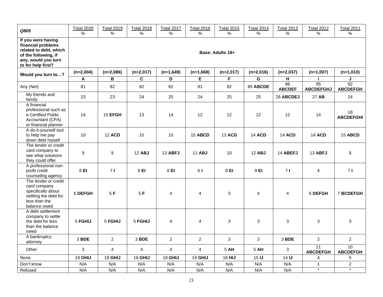| Q805                                                                                                                                    | <b>Total 2020</b><br>% | <b>Total 2019</b><br>%  | <b>Total 2018</b><br>%  | <b>Total 2017</b><br>$\%$ | <b>Total 2016</b><br>$\%$ | <b>Total 2015</b><br>% | <b>Total 2014</b><br>% | <b>Total 2013</b><br>$\%$ | <b>Total 2012</b><br>% | <b>Total 2011</b><br>% |
|-----------------------------------------------------------------------------------------------------------------------------------------|------------------------|-------------------------|-------------------------|---------------------------|---------------------------|------------------------|------------------------|---------------------------|------------------------|------------------------|
| If you were having<br>financial problems<br>related to debt, which<br>of the following, if<br>any, would you turn<br>to for help first? |                        |                         |                         |                           |                           | Base: Adults 18+       |                        |                           |                        |                        |
| Would you turn to?                                                                                                                      | $(n=2,004)$            | $(n=2,086)$             | $(n=2,017)$             | $(n=1,649)$               | $(n=1,668)$               | $(n=2,017)$            | $(n=2,016)$            | $(n=2,037)$               | $(n=1,007)$            | $(n=1,010)$            |
|                                                                                                                                         | Α                      | В                       | $\overline{\mathsf{c}}$ | D                         | E                         | $\overline{F}$         | G                      | н                         |                        | J                      |
| Any (Net)                                                                                                                               | 81                     | 82                      | 82                      | 82                        | 81                        | 82                     | 85 ABCDE               | 86<br><b>ABCDEF</b>       | 95<br><b>ABCDEFGHJ</b> | 92<br><b>ABCDEFGH</b>  |
| My friends and<br>family                                                                                                                | 23                     | 23                      | 24                      | 25                        | 24                        | 25                     | 25                     | 28 ABCDEJ                 | 27 AB                  | 24                     |
| A financial<br>professional such as<br>a Certified Public<br>Accountant (CPA)<br>or financial planner                                   | 14                     | 15 EFGH                 | 13                      | 14                        | 12                        | 12                     | 12                     | 12                        | 14                     | 18<br><b>ABCDEFGHI</b> |
| A do-it-yourself tool<br>to help me pay<br>down debt myself                                                                             | 10                     | <b>12 ACD</b>           | 10                      | 10                        | <b>15 ABCD</b>            | <b>13 ACD</b>          | <b>14 ACD</b>          | <b>14 ACD</b>             | <b>14 ACD</b>          | <b>15 ABCD</b>         |
| The lender or credit<br>card company to<br>see what solutions<br>they could offer                                                       | $\mathsf g$            | 9                       | <b>12 ABJ</b>           | <b>13 ABFJ</b>            | <b>11 ABJ</b>             | 10                     | 12 ABJ                 | 14 ABEFJ                  | <b>13 ABFJ</b>         | 8                      |
| A professional non-<br>profit credit<br>counseling agency                                                                               | 8 EI                   | 71                      | 8 EI                    | 8 EI                      | 61                        | 8 EI                   | 9 EI                   | 71                        | 4                      | 71                     |
| The lender or credit<br>card company<br>specifically about<br>settling the debt for<br>less than the<br>balance owed                    | 6 DEFGH                | 5F                      | 5F                      | $\overline{4}$            | $\overline{4}$            | 3                      | $\overline{4}$         | 4                         | 6 DEFGH                | <b>7 BCDEFGH</b>       |
| A debt settlement<br>company to settle<br>the debt for less<br>than the balance<br>owed                                                 | 5 FGHIJ                | 5 FGHIJ                 | 5 FGHIJ                 | $\overline{4}$            | $\overline{4}$            | 3                      | $\mathbf{3}$           | 3                         | 3                      | 3                      |
| A bankruptcy<br>attorney                                                                                                                | 3 BDE                  | $\overline{2}$          | 3 BDE                   | $\overline{2}$            | $\overline{2}$            | $\mathbf{3}$           | $\mathbf{3}$           | 3 BDE                     | $\overline{a}$         | $\overline{a}$         |
| Other                                                                                                                                   | 3                      | $\overline{\mathbf{4}}$ | $\overline{4}$          | $\overline{4}$            | $\overline{4}$            | 5 AH                   | 5 AH                   | 3                         | 11<br><b>ABCDEFGH</b>  | 10<br><b>ABCDEFGH</b>  |
| None                                                                                                                                    | 19 GHIJ                | 18 GHIJ                 | 18 GHIJ                 | 18 GHIJ                   | 19 GHIJ                   | 18 HIJ                 | 15 <sub>1</sub>        | 14 <sub>l</sub>           | $\overline{4}$         | 5                      |
| Don't know                                                                                                                              | N/A                    | N/A                     | N/A                     | N/A                       | N/A                       | N/A                    | N/A                    | N/A                       | $\mathbf{1}$           | $\overline{c}$         |
| Refused                                                                                                                                 | N/A                    | N/A                     | N/A                     | N/A                       | N/A                       | N/A                    | N/A                    | N/A                       | $\ast$                 | $\ast$                 |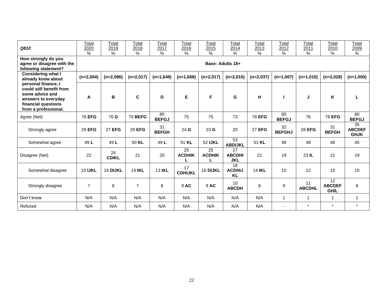| Q810                                                                                                                                     | Total<br>2020<br>$\frac{0}{0}$ | Total<br>2019<br>$\%$ | Total<br>2018<br>$\%$ | Total<br>2017<br>$\%$ | Total<br>2016<br>$\%$ | Total<br>2015<br>$\frac{1}{6}$ | Total<br>2014<br>$\%$             | Total<br>2013<br>$\frac{0}{0}$ | Total<br>2012<br>$\%$    | Total<br>2011<br>$\%$ | Total<br>2010<br>$\%$              | Total<br>2009<br>$\%$              |
|------------------------------------------------------------------------------------------------------------------------------------------|--------------------------------|-----------------------|-----------------------|-----------------------|-----------------------|--------------------------------|-----------------------------------|--------------------------------|--------------------------|-----------------------|------------------------------------|------------------------------------|
| How strongly do you<br>agree or disagree with the<br>following statement?                                                                |                                |                       |                       |                       |                       |                                | Base: Adults 18+                  |                                |                          |                       |                                    |                                    |
| <b>Considering what I</b><br>already know about                                                                                          | $(n=2,004)$                    | $(n=2,086)$           | $(n=2,017)$           | $(n=1,649)$           | $(n=1,668)$           | $(n=2,017)$                    | $(n=2,016)$                       | $(n=2,037)$                    | $(n=1,007)$              | $(n=1,010)$           | $(n=2,028)$                        | $(n=1,000)$                        |
| personal finance, I<br>could still benefit from<br>some advice and<br>answers to everyday<br>financial questions<br>from a professional. | A                              | B                     | C                     | D                     | Е                     | F                              | G                                 | н                              |                          | J                     | Κ                                  |                                    |
| Agree (Net)                                                                                                                              | <b>78 EFG</b>                  | 76 G                  | <b>79 BEFG</b>        | 80<br><b>BEFGJ</b>    | 75                    | 75                             | 73                                | <b>78 EFG</b>                  | 80<br><b>BEFGJ</b>       | 76                    | <b>78 EFG</b>                      | 80<br><b>BEFGJ</b>                 |
| Strongly agree                                                                                                                           | 29 EFG                         | <b>27 EFG</b>         | 29 EFG                | 31<br><b>BEFGH</b>    | 24 G                  | 23G                            | 20                                | <b>27 EFG</b>                  | 32<br><b>BEFGHJ</b>      | <b>28 EFG</b>         | 31<br><b>BEFGH</b>                 | 35<br><b>ABCDEF</b><br><b>GHJK</b> |
| Somewhat agree                                                                                                                           | 49 L                           | 49 L                  | 50 KL                 | 49 L                  | 51 KL                 | 52 IJKL                        | 53<br><b>ABDIJKL</b>              | 51 KL                          | 48                       | 48                    | 46                                 | 45                                 |
| Disagree (Net)                                                                                                                           | 22                             | 24<br><b>CDIKL</b>    | 21                    | 20                    | 25<br><b>ACDHIK</b>   | 25<br><b>ACDHIK</b>            | 27<br><b>ABCDHI</b><br><b>JKL</b> | 22                             | 19                       | 23 IL                 | 21                                 | 19                                 |
| Somewhat disagree                                                                                                                        | <b>15 IJKL</b>                 | 16 DIJKL              | <b>14 IKL</b>         | <b>13 IKL</b>         | 17<br><b>CDHIJKL</b>  | 16 DIJKL                       | 18<br><b>ACDHIJ</b><br><b>KL</b>  | <b>14 IKL</b>                  | 10                       | 12                    | 10                                 | 10                                 |
| Strongly disagree                                                                                                                        | $\overline{7}$                 | 8                     | 7                     | 8                     | 9 AC                  | 9 AC                           | 10 <sup>1</sup><br><b>ABCDH</b>   | 8                              | 9                        | 11<br><b>ABCDHL</b>   | 12<br><b>ABCDEF</b><br><b>GHIL</b> | 8                                  |
| Don't know                                                                                                                               | N/A                            | N/A                   | N/A                   | N/A                   | N/A                   | N/A                            | N/A                               | N/A                            | $\mathbf{1}$             | 1                     | 1                                  | $\mathbf{1}$                       |
| Refused                                                                                                                                  | N/A                            | N/A                   | N/A                   | N/A                   | N/A                   | N/A                            | N/A                               | N/A                            | $\overline{\phantom{a}}$ | $\star$               | $\star$                            | $\star$                            |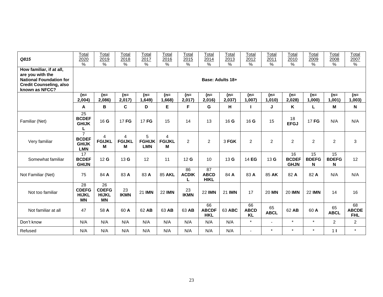| Q815                                                                                                                               | Total<br>2020<br>$\%$                                        | Total<br>2019<br>$\%$                           | Total<br>2018<br>$\%$   | Total<br>2017<br>$\frac{0}{0}$   | Total<br>2016<br>$\%$                | Total<br>2015<br>$\frac{0}{0}$ | Total<br>2014<br>$\frac{0}{0}$   | Total<br>2013<br>$\%$ | Total<br>2012<br>$\%$          | Total<br>2011<br>$\%$ | Total<br>2010<br>$\%$             | Total<br>2009<br>$\%$   | Total<br>2008<br>%      | Total<br>2007<br>$\%$            |
|------------------------------------------------------------------------------------------------------------------------------------|--------------------------------------------------------------|-------------------------------------------------|-------------------------|----------------------------------|--------------------------------------|--------------------------------|----------------------------------|-----------------------|--------------------------------|-----------------------|-----------------------------------|-------------------------|-------------------------|----------------------------------|
| How familiar, if at all,<br>are you with the<br><b>National Foundation for</b><br><b>Credit Counseling, also</b><br>known as NFCC? |                                                              | Base: Adults 18+                                |                         |                                  |                                      |                                |                                  |                       |                                |                       |                                   |                         |                         |                                  |
|                                                                                                                                    | $(n=$<br>2,004                                               | $(n=$<br>2,086)                                 | $(n=$<br>2,017)         | $(n=$<br>1,649)                  | $(n=$<br>1,668)                      | $(n=$<br>2,017)                | $(n=$<br>2,016                   | $(n=$<br>2,037)       | (n=<br>1,007)                  | $(n=$<br>1,010)       | $(n=$<br>2,028)                   | $(n=$<br>1,000          | (n=<br>1,001)           | $(n=$<br>,003)                   |
|                                                                                                                                    | A                                                            | B                                               | C                       | D                                | Е                                    | F                              | G                                | н                     |                                | J                     | K                                 | L                       | M                       | N                                |
| Familiar (Net)                                                                                                                     | $\overline{25}$<br><b>BCDEF</b><br><b>GHIJK</b><br>L         | 16G                                             | 17 FG                   | 17 FG                            | 15                                   | 14                             | 13                               | 16G                   | 16G                            | 15                    | 18<br><b>EFGJ</b>                 | 17 FG                   | N/A                     | N/A                              |
| Very familiar                                                                                                                      | $\overline{7}$<br><b>BCDEF</b><br><b>GHIJK</b><br><b>LMN</b> | 4<br><b>FGIJKL</b><br>М                         | 4<br><b>FGIJKL</b><br>М | 5<br><b>FGHIJK</b><br><b>LMN</b> | $\overline{4}$<br><b>FGIJKL</b><br>М | 2                              | $\overline{2}$                   | 3 FGK                 | $\overline{2}$                 | 2                     | $\overline{2}$                    | $\overline{c}$          | $\overline{c}$          | 3                                |
| Somewhat familiar                                                                                                                  | 17<br><b>BCDEF</b><br><b>GHIJN</b>                           | 12 <sub>G</sub>                                 | 13G                     | 12                               | 11                                   | 12 <sub>G</sub>                | 10                               | 13 G                  | 14 EG                          | 13 G                  | 16<br><b>BCDEF</b><br><b>GHJN</b> | 15<br><b>BDEFG</b><br>N | 15<br><b>BDEFG</b><br>N | 12                               |
| Not Familiar (Net)                                                                                                                 | 75                                                           | 84 A                                            | 83 A                    | 83 A                             | <b>85 AKL</b>                        | 86<br><b>ACDIK</b>             | 87<br><b>ABCD</b><br><b>HIKL</b> | 84 A                  | 83 A                           | 85 AK                 | 82 A                              | 82 A                    | N/A                     | N/A                              |
| Not too familiar                                                                                                                   | $\overline{28}$<br><b>CDEFG</b><br><b>HIJKL</b><br><b>MN</b> | 26<br><b>CDEFG</b><br><b>HIJKL</b><br><b>MN</b> | 23<br><b>IKMN</b>       | 21 IMN                           | <b>22 IMN</b>                        | 23<br><b>IKMN</b>              | <b>22 IMN</b>                    | 21 IMN                | 17                             | 20 MN                 | <b>20 IMN</b>                     | <b>22 IMN</b>           | 14                      | 16                               |
| Not familiar at all                                                                                                                | 47                                                           | 58 A                                            | 60 A                    | 62 AB                            | 63 AB                                | 63 AB                          | 66<br><b>ABCDF</b><br><b>HKL</b> | 63 ABC                | 66<br><b>ABCD</b><br><b>KL</b> | 65<br><b>ABCL</b>     | 62 AB                             | 60 A                    | 65<br><b>ABCL</b>       | 68<br><b>ABCDE</b><br><b>FHL</b> |
| Don't know                                                                                                                         | N/A                                                          | N/A                                             | N/A                     | N/A                              | N/A                                  | N/A                            | N/A                              | N/A                   | $\star$                        | $\sim$                | $\star$                           | $\star$                 | $\overline{2}$          | $\overline{2}$                   |
| Refused                                                                                                                            | N/A                                                          | N/A                                             | N/A                     | N/A                              | N/A                                  | N/A                            | N/A                              | N/A                   | $\blacksquare$                 | $\star$               | $\star$                           | $\star$                 | 1 <sub>1</sub>          | $\star$                          |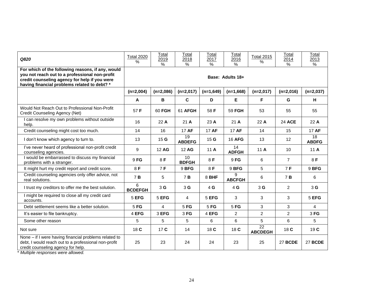| Q820                                                                                                                                                                                                 | <b>Total 2020</b><br>$\%$ | Total<br>2019<br>$\%$ | Total<br>2018<br>$\%$           | Total<br>2017<br>$\%$ | Total<br>2016<br>$\%$ | <b>Total 2015</b><br>$\frac{0}{0}$ | Total<br>2014<br>$\%$ | Total<br>2013<br>$\%$ |
|------------------------------------------------------------------------------------------------------------------------------------------------------------------------------------------------------|---------------------------|-----------------------|---------------------------------|-----------------------|-----------------------|------------------------------------|-----------------------|-----------------------|
| For which of the following reasons, if any, would<br>you not reach out to a professional non-profit<br>credit counseling agency for help if you were<br>having financial problems related to debt? * |                           |                       |                                 |                       |                       |                                    |                       |                       |
|                                                                                                                                                                                                      | $(n=2,004)$               | $(n=2,086)$           | $(n=2,017)$                     | $(n=1,649)$           | $(n=1,668)$           | $(n=2,017)$                        | $(n=2,016)$           | $(n=2,037)$           |
|                                                                                                                                                                                                      | $\mathsf{A}$              | B                     | C                               | D                     | Е                     | F                                  | G                     | H                     |
| Would Not Reach Out to Professional Non-Profit<br>Credit Counseling Agency (Net)                                                                                                                     | 57 F                      | 60 FGH                | 61 AFGH                         | 58 F                  | 59 FGH                | 53                                 | 55                    | 55                    |
| I can resolve my own problems without outside<br>help.                                                                                                                                               | 16                        | 22A                   | 21A                             | 23 A                  | 21A                   | 22 A                               | 24 ACE                | 22A                   |
| Credit counseling might cost too much.                                                                                                                                                               | 14                        | 16                    | 17 AF                           | 17 AF                 | 17 AF                 | 14                                 | 15                    | 17 AF                 |
| I don't know which agency to turn to.                                                                                                                                                                | 13                        | 15 <sub>G</sub>       | 19<br><b>ABDEFG</b>             | 15G                   | <b>16 AFG</b>         | 13                                 | 12                    | 18<br><b>ABDFG</b>    |
| I've never heard of professional non-profit credit<br>counseling agencies.                                                                                                                           | 9                         | 12 AG                 | 12 AG                           | 11A                   | 14<br><b>ADFGH</b>    | 11A                                | 10                    | 11A                   |
| I would be embarrassed to discuss my financial<br>problems with a stranger.                                                                                                                          | 9FG                       | 8F                    | 10 <sup>1</sup><br><b>BDFGH</b> | 8F                    | 9FG                   | 6                                  | $\overline{7}$        | 8F                    |
| It might hurt my credit report and credit score.                                                                                                                                                     | 8F                        | 7F                    | 9 BFG                           | 8 F                   | 9 BFG                 | 5                                  | 7F                    | 9 BFG                 |
| Credit counseling agencies only offer advice, not<br>real solutions.                                                                                                                                 | 7 B                       | 5                     | 7 B                             | 8 BHF                 | 9<br><b>ABCFGH</b>    | 6                                  | 7 B                   | 6                     |
| I trust my creditors to offer me the best solution.                                                                                                                                                  | 6<br><b>BCDEFGH</b>       | 3G                    | 3 <sub>G</sub>                  | 4 <sub>G</sub>        | 4 G                   | 3 G                                | $\overline{2}$        | 3 <sub>G</sub>        |
| I might be required to close all my credit card<br>accounts.                                                                                                                                         | 5 EFG                     | 5 EFG                 | $\overline{4}$                  | 5 EFG                 | 3                     | 3                                  | 3                     | 5 EFG                 |
| Debt settlement seems like a better solution.                                                                                                                                                        | 5 FG                      | $\overline{4}$        | 5 FG                            | 5 FG                  | 5 FG                  | 3                                  | 3                     | 4                     |
| It's easier to file bankruptcy.                                                                                                                                                                      | 4 EFG                     | 3 EFG                 | 3F <sub>G</sub>                 | 4 EFG                 | $\overline{2}$        | $\overline{2}$                     | $\overline{2}$        | 3FG                   |
| Some other reason                                                                                                                                                                                    | 5                         | 5                     | 5                               | 6                     | 6                     | 5                                  | 6                     | 5                     |
| Not sure                                                                                                                                                                                             | 18 C                      | 17 C                  | 14                              | 18 C                  | 18 C                  | $\overline{22}$<br><b>ABCDEGH</b>  | 18 C                  | 19C                   |
| None - if I were having financial problems related to<br>debt, I would reach out to a professional non-profit<br>credit counseling agency for help.                                                  | 25                        | 23                    | 24                              | 24                    | 23                    | 25                                 | 27 BCDE               | 27 BCDE               |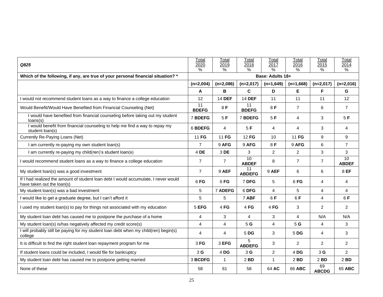| Q825                                                                                                              | Total<br>2020<br>$\frac{0}{2}$ | Total<br>2019<br>% | Total<br>2018<br>$\%$ | Total<br>2017<br>% | Total<br>2016<br>$\frac{0}{0}$ | Total<br>2015<br>$\%$ | Total<br>2014<br>$\%$ |  |
|-------------------------------------------------------------------------------------------------------------------|--------------------------------|--------------------|-----------------------|--------------------|--------------------------------|-----------------------|-----------------------|--|
| Which of the following, if any, are true of your personal financial situation? *                                  | Base: Adults 18+               |                    |                       |                    |                                |                       |                       |  |
|                                                                                                                   | $(n=2,004)$                    | $(n=2,086)$        | $(n=2,017)$           | $(n=1,649)$        | $(n=1,668)$                    | $(n=2,017)$           | $(n=2,016)$           |  |
|                                                                                                                   | Α                              | B                  | C                     | D                  | Е                              | F                     | G                     |  |
| I would not recommend student loans as a way to finance a college education                                       | 12                             | <b>14 DEF</b>      | <b>14 DEF</b>         | 11                 | 11                             | 11                    | 12                    |  |
| Would Benefit/Would Have Benefited from Financial Counseling (Net)                                                | 11<br><b>BDEFG</b>             | 8F                 | 11<br><b>BDEFG</b>    | 8F                 | $\overline{7}$                 | 6                     | $\overline{7}$        |  |
| I would have benefited from financial counseling before taking out my student<br>loans(s)                         | 7 BDEFG                        | 5F                 | 7 BDEFG               | 5F                 | 4                              | 3                     | 5F                    |  |
| I would benefit from financial counseling to help me find a way to repay my<br>student loan(s)                    | 6 BDEFG                        | $\overline{4}$     | 5F                    | 4                  | 4                              | 3                     | 4                     |  |
| Currently Re-Paying Loans (Net)                                                                                   | 11 FG                          | 11 FG              | 12 FG                 | 10                 | 11 FG                          | 9                     | 9                     |  |
| I am currently re-paying my own student loan(s)                                                                   | $\overline{7}$                 | 9 AFG              | 9 AFG                 | 8F                 | 9 AFG                          | 6                     | $\overline{7}$        |  |
| I am currently re-paying my child(ren)'s student loan(s)                                                          | 4 DE                           | 3 DE               | 3                     | $\overline{c}$     | $\overline{c}$                 | 3                     | 3                     |  |
| I would recommend student loans as a way to finance a college education                                           | $\overline{7}$                 | $\overline{7}$     | 10<br><b>ABDEF</b>    | 8                  | $\overline{7}$                 | $\overline{7}$        | 10<br><b>ABDEF</b>    |  |
| My student loan(s) was a good investment                                                                          | $\overline{7}$                 | 9 AEF              | 11<br><b>ABDEFG</b>   | 9 AEF              | 6                              | 6                     | 8 EF                  |  |
| If I had realized the amount of student loan debt I would accumulate, I never would<br>have taken out the loan(s) | 6FG                            | 6FG                | 7 DFG                 | 5                  | 6FG                            | 4                     | 4                     |  |
| My student loan(s) was a bad investment                                                                           | 5                              | 7 ADEFG            | 6 DFG                 | 4                  | 5                              | 4                     | 4                     |  |
| I would like to get a graduate degree, but I can't afford it                                                      | 5                              | 5                  | 7 ABF                 | 6F                 | 6F                             | $\overline{4}$        | 6F                    |  |
| I used my student loan(s) to pay for things not associated with my education                                      | 5 EFG                          | 4FG                | 4FG                   | 4FG                | 3                              | 2                     | $\overline{2}$        |  |
| My student loan debt has caused me to postpone the purchase of a home                                             | 4                              | 3                  | 4                     | 3                  | 4                              | N/A                   | N/A                   |  |
| My student loan(s) is/has negatively affected my credit score(s)                                                  | $\overline{4}$                 | 4                  | 5G                    | $\overline{4}$     | 5 G                            | 4                     | 3                     |  |
| I will probably still be paying for my student loan debt when my child(ren) begin(s)<br>college                   | 4                              | 4                  | 5 DG                  | 3                  | 5 DG                           | 4                     | 3                     |  |
| It is difficult to find the right student loan repayment program for me                                           | 3FG                            | 3 EFG              | 5<br><b>ABDEFG</b>    | 3                  | 2                              | $\overline{2}$        | $\overline{2}$        |  |
| If student loans could be included, I would file for bankruptcy                                                   | 3G                             | 4DG                | 3 <sub>G</sub>        | 2                  | 4 DG                           | 3 <sub>G</sub>        | $\overline{2}$        |  |
| My student loan debt has caused me to postpone getting married                                                    | 3 BCDFG                        | $\mathbf{1}$       | 2 BD                  | $\mathbf{1}$       | $2$ BD                         | 2 BD                  | $2$ BD                |  |
| None of these                                                                                                     | 58                             | 61                 | 58                    | 64 AC              | 66 ABC                         | 69<br><b>ABCDG</b>    | 65 ABC                |  |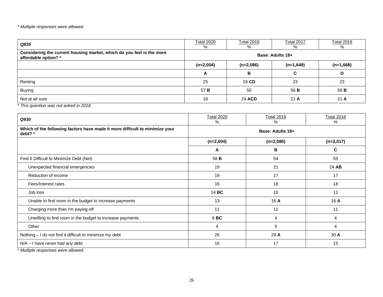| Q835                                                                                          | <b>Total 2020</b><br>% | <b>Total 2019</b><br>% | <b>Total 2017</b><br>% | <b>Total 2016</b><br>% |  |  |  |
|-----------------------------------------------------------------------------------------------|------------------------|------------------------|------------------------|------------------------|--|--|--|
| Considering the current housing market, which do you feel is the more<br>affordable option? * | Base: Adults 18+       |                        |                        |                        |  |  |  |
|                                                                                               | $(n=2,004)$            | $(n=2,086)$            | $(n=1,649)$            | $(n=1,668)$            |  |  |  |
|                                                                                               | A                      | B                      | C                      | D                      |  |  |  |
| Renting                                                                                       | 25                     | 26 CD                  | 23                     | 23                     |  |  |  |
| <b>Buying</b>                                                                                 | 57 B                   | 50                     | 56 B                   | 56 B                   |  |  |  |
| Not at all sure                                                                               | 18                     | 24 ACD                 | 21A                    | 21A                    |  |  |  |

*\* This question was not asked in 2018.*

| Q930                                                                                   | <b>Total 2020</b><br>℅ | <b>Total 2019</b><br>% | <b>Total 2018</b><br>% |  |  |  |  |  |
|----------------------------------------------------------------------------------------|------------------------|------------------------|------------------------|--|--|--|--|--|
| Which of the following factors have made it more difficult to minimize your<br>debt? * | Base: Adults 18+       |                        |                        |  |  |  |  |  |
|                                                                                        | $(n=2,004)$            | $(n=2,086)$            | $(n=2,017)$            |  |  |  |  |  |
|                                                                                        | A                      | в                      | C                      |  |  |  |  |  |
| Find It Difficult to Minimize Debt (Net)                                               | 58 B                   | 54                     | 55                     |  |  |  |  |  |
| Unexpected financial emergencies                                                       | 19                     | 21                     | 24 AB                  |  |  |  |  |  |
| Reduction of income                                                                    | 19                     | 17                     | 17                     |  |  |  |  |  |
| Fees/Interest rates                                                                    | 16                     | 16                     | 18                     |  |  |  |  |  |
| Job loss                                                                               | 14 BC                  | 10                     | 11                     |  |  |  |  |  |
| Unable to find room in the budget to increase payments                                 | 13                     | 16 A                   | 16 A                   |  |  |  |  |  |
| Charging more than I'm paying off                                                      | 11                     | 11                     | 11                     |  |  |  |  |  |
| Unwilling to find room in the budget to increase payments                              | 6BC                    | 4                      | 4                      |  |  |  |  |  |
| Other                                                                                  | 4                      | 5                      | 4                      |  |  |  |  |  |
| Nothing - I do not find it difficult to minimize my debt                               | 26                     | 29 A                   | 30 A                   |  |  |  |  |  |
| N/A - I have never had any debt                                                        | 16                     | 17                     | 15                     |  |  |  |  |  |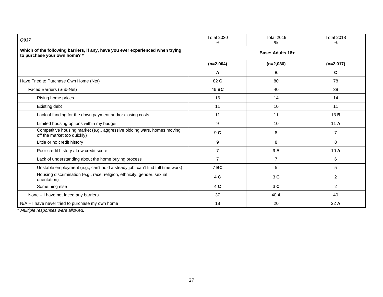| Q937                                                                                                           | <b>Total 2020</b><br>% | <b>Total 2019</b><br>% | <b>Total 2018</b><br>% |  |  |  |  |
|----------------------------------------------------------------------------------------------------------------|------------------------|------------------------|------------------------|--|--|--|--|
| Which of the following barriers, if any, have you ever experienced when trying<br>to purchase your own home? * | Base: Adults 18+       |                        |                        |  |  |  |  |
|                                                                                                                | $(n=2,004)$            | $(n=2,086)$            | $(n=2,017)$            |  |  |  |  |
|                                                                                                                | A                      | B                      | C                      |  |  |  |  |
| Have Tried to Purchase Own Home (Net)                                                                          | 82 C                   | 80                     | 78                     |  |  |  |  |
| Faced Barriers (Sub-Net)                                                                                       | 46 BC                  | 40                     | 38                     |  |  |  |  |
| Rising home prices                                                                                             | 16                     | 14                     | 14                     |  |  |  |  |
| Existing debt                                                                                                  | 11                     | 10                     | 11                     |  |  |  |  |
| Lack of funding for the down payment and/or closing costs                                                      | 11                     | 11                     | 13B                    |  |  |  |  |
| Limited housing options within my budget                                                                       | 9                      | 10                     | 11 A                   |  |  |  |  |
| Competitive housing market (e.g., aggressive bidding wars, homes moving<br>off the market too quickly)         | 9 C                    | 8                      | $\overline{7}$         |  |  |  |  |
| Little or no credit history                                                                                    | 9                      | 8                      | 8                      |  |  |  |  |
| Poor credit history / Low credit score                                                                         | $\overline{7}$         | 9 A                    | 10 A                   |  |  |  |  |
| Lack of understanding about the home buying process                                                            | $\overline{7}$         | $\overline{7}$         | 6                      |  |  |  |  |
| Unstable employment (e.g., can't hold a steady job, can't find full time work)                                 | 7BC                    | 5                      | 5                      |  |  |  |  |
| Housing discrimination (e.g., race, religion, ethnicity, gender, sexual<br>orientation)                        | 4 C                    | 3C                     | $\overline{2}$         |  |  |  |  |
| Something else                                                                                                 | 4 C                    | 3C                     | $\overline{2}$         |  |  |  |  |
| None - I have not faced any barriers                                                                           | 37                     | 40 A                   | 40                     |  |  |  |  |
| $N/A - I$ have never tried to purchase my own home                                                             | 18                     | 20                     | 22 A                   |  |  |  |  |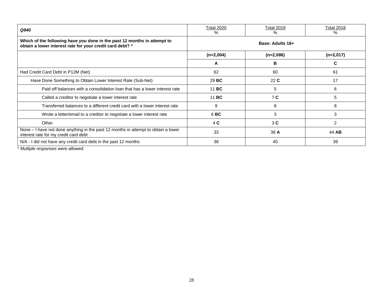| Q940                                                                                                                                  | <b>Total 2020</b><br>% | <b>Total 2019</b><br>% | <b>Total 2018</b><br>% |
|---------------------------------------------------------------------------------------------------------------------------------------|------------------------|------------------------|------------------------|
| Which of the following have you done in the past 12 months in attempt to<br>obtain a lower interest rate for your credit card debt? * | Base: Adults 18+       |                        |                        |
|                                                                                                                                       | $(n=2,004)$            | $(n=2,086)$            | $(n=2,017)$            |
|                                                                                                                                       | A                      | в                      | C                      |
| Had Credit Card Debt in P12M (Net)                                                                                                    | 62                     | 60                     | 61                     |
| Have Done Something to Obtain Lower Interest Rate (Sub-Net)                                                                           | 29 BC                  | 22C                    | 17                     |
| Paid off balances with a consolidation loan that has a lower interest rate                                                            | 11 BC                  | 5                      | 6                      |
| Called a creditor to negotiate a lower interest rate                                                                                  | 11 BC                  | 7 <sub>C</sub>         | 5                      |
| Transferred balances to a different credit card with a lower interest rate                                                            | 9                      | 8                      | 8                      |
| Wrote a letter/email to a creditor to negotiate a lower interest rate                                                                 | 6BC                    | 3                      | 3                      |
| Other                                                                                                                                 | 4 <sub>C</sub>         | 3C                     | $\overline{2}$         |
| None - I have not done anything in the past 12 months in attempt to obtain a lower<br>interest rate for my credit card debt           | 33                     | 38 A                   | 44 AB                  |
| N/A - I did not have any credit card debt in the past 12 months                                                                       | 38                     | 40                     | 39                     |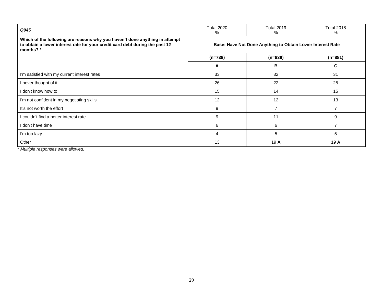| Q945                                                                                                                                                                    | <b>Total 2020</b><br>%                                     | Total 2019<br>% | <b>Total 2018</b><br>% |
|-------------------------------------------------------------------------------------------------------------------------------------------------------------------------|------------------------------------------------------------|-----------------|------------------------|
| Which of the following are reasons why you haven't done anything in attempt<br>to obtain a lower interest rate for your credit card debt during the past 12<br>months?* | Base: Have Not Done Anything to Obtain Lower Interest Rate |                 |                        |
|                                                                                                                                                                         | $(n=738)$                                                  | $(n=838)$       | $(n=881)$              |
|                                                                                                                                                                         | A                                                          | в               | С                      |
| I'm satisfied with my current interest rates                                                                                                                            | 33                                                         | 32              | 31                     |
| I never thought of it                                                                                                                                                   | 26                                                         | 22              | 25                     |
| l don't know how to                                                                                                                                                     | 15                                                         | 14              | 15                     |
| I'm not confident in my negotiating skills                                                                                                                              | 12                                                         | 12              | 13                     |
| It's not worth the effort                                                                                                                                               | 9                                                          | $\overline{ }$  |                        |
| I couldn't find a better interest rate                                                                                                                                  | 9                                                          | 11              | 9                      |
| I don't have time                                                                                                                                                       | 6                                                          | 6               |                        |
| I'm too lazy                                                                                                                                                            | 4                                                          | 5               | 5                      |
| Other                                                                                                                                                                   | 13                                                         | 19A             | 19 A                   |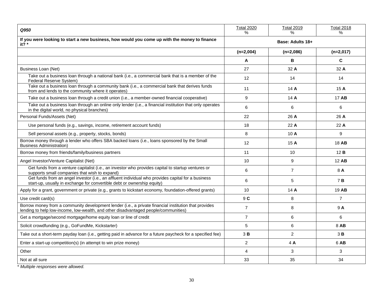| Q950                                                                                                                                                                                         | <b>Total 2020</b><br>% | <b>Total 2019</b><br>$\%$ | <b>Total 2018</b><br>% |
|----------------------------------------------------------------------------------------------------------------------------------------------------------------------------------------------|------------------------|---------------------------|------------------------|
| If you were looking to start a new business, how would you come up with the money to finance<br>it? $*$                                                                                      | Base: Adults 18+       |                           |                        |
|                                                                                                                                                                                              | $(n=2,004)$            | $(n=2,086)$               | $(n=2,017)$            |
|                                                                                                                                                                                              | A                      | В                         | C                      |
| Business Loan (Net)                                                                                                                                                                          | 27                     | 32 A                      | 32 A                   |
| Take out a business loan through a national bank (i.e., a commercial bank that is a member of the<br>Federal Reserve System)                                                                 | 12                     | 14                        | 14                     |
| Take out a business loan through a community bank (i.e., a commercial bank that derives funds<br>from and lends to the community where it operates)                                          | 11                     | 14 A                      | 15A                    |
| Take out a business loan through a credit union (i.e., a member-owned financial cooperative)                                                                                                 | 9                      | 14 A                      | 17 AB                  |
| Take out a business loan through an online only lender (i.e., a financial institution that only operates<br>in the digital world, no physical branches)                                      | 6                      | 6                         | 6                      |
| Personal Funds/Assets (Net)                                                                                                                                                                  | 22                     | 26 A                      | 26 A                   |
| Use personal funds (e.g., savings, income, retirement account funds)                                                                                                                         | 18                     | 22A                       | 22A                    |
| Sell personal assets (e.g., property, stocks, bonds)                                                                                                                                         | 8                      | 10A                       | 9                      |
| Borrow money through a lender who offers SBA backed loans (i.e., loans sponsored by the Small<br><b>Business Administration)</b>                                                             | 12                     | 15A                       | 18 AB                  |
| Borrow money from friends/family/business partners                                                                                                                                           | 11                     | 10                        | 12B                    |
| Angel Investor/Venture Capitalist (Net)                                                                                                                                                      | 10                     | 9                         | 12 AB                  |
| Get funds from a venture capitalist (i.e., an investor who provides capital to startup ventures or<br>supports small companies that wish to expand)                                          | 6                      | $\overline{7}$            | 8 A                    |
| Get funds from an angel investor (i.e., an affluent individual who provides capital for a business<br>start-up, usually in exchange for convertible debt or ownership equity)                | 6                      | 5                         | 7 B                    |
| Apply for a grant, government or private (e.g., grants to kickstart economy, foundation-offered grants)                                                                                      | 10                     | 14 A                      | 19 AB                  |
| Use credit card(s)                                                                                                                                                                           | 9 C                    | 8                         | $\overline{7}$         |
| Borrow money from a community development lender (i.e., a private financial institution that provides<br>lending to help low-income, low-wealth, and other disadvantaged people/communities) | $\overline{7}$         | 8                         | 9 A                    |
| Get a mortgage/second mortgage/home equity loan or line of credit                                                                                                                            | $\overline{7}$         | 6                         | 6                      |
| Solicit crowdfunding (e.g., GoFundMe, Kickstarter)                                                                                                                                           | 5                      | 6                         | 8 AB                   |
| Take out a short-term payday loan (i.e., getting paid in advance for a future paycheck for a specified fee)                                                                                  | 3B                     | $\overline{c}$            | 3B                     |
| Enter a start-up competition(s) (in attempt to win prize money)                                                                                                                              | $\overline{2}$         | 4A                        | 6 AB                   |
| Other                                                                                                                                                                                        | $\overline{4}$         | 3                         | 3                      |
| Not at all sure                                                                                                                                                                              | 33                     | 35                        | 34                     |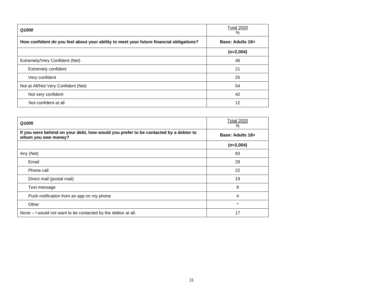| Q1000                                                                                   | <b>Total 2020</b><br>% |
|-----------------------------------------------------------------------------------------|------------------------|
| How confident do you feel about your ability to meet your future financial obligations? | Base: Adults 18+       |
|                                                                                         | $(n=2,004)$            |
| Extremely/Very Confident (Net)                                                          | 46                     |
| <b>Extremely confident</b>                                                              | 21                     |
| Very confident                                                                          | 25                     |
| Not at All/Not Very Confident (Net)                                                     | 54                     |
| Not very confident                                                                      | 42                     |
| Not confident at all                                                                    | 12                     |

| Q1005                                                                                                       | <b>Total 2020</b><br>$\%$ |
|-------------------------------------------------------------------------------------------------------------|---------------------------|
| If you were behind on your debt, how would you prefer to be contacted by a debtor to<br>whom you owe money? | Base: Adults 18+          |
|                                                                                                             | $(n=2,004)$               |
| Any (Net)                                                                                                   | 83                        |
| Email                                                                                                       | 29                        |
| Phone call                                                                                                  | 22                        |
| Direct mail (postal mail)                                                                                   | 19                        |
| Text message                                                                                                | 9                         |
| Push notification from an app on my phone                                                                   | 4                         |
| Other                                                                                                       | $\star$                   |
| None – I would not want to be contacted by the debtor at all.                                               | 17                        |